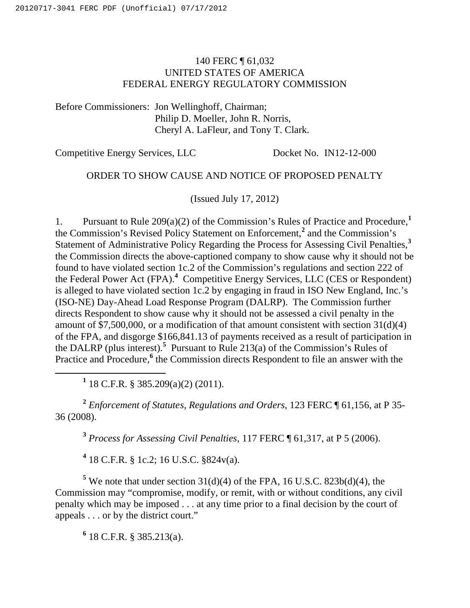# 140 FERC ¶ 61,032 UNITED STATES OF AMERICA FEDERAL ENERGY REGULATORY COMMISSION

Before Commissioners: Jon Wellinghoff, Chairman; Philip D. Moeller, John R. Norris, Cheryl A. LaFleur, and Tony T. Clark.

Competitive Energy Services, LLC Docket No. IN12-12-000

# ORDER TO SHOW CAUSE AND NOTICE OF PROPOSED PENALTY

(Issued July 17, 2012)

1. Pursuant to Rule 209(a)(2) of the Commission's Rules of Practice and Procedure,**<sup>1</sup>** the Commission's Revised Policy Statement on Enforcement,**<sup>2</sup>** and the Commission's Statement of Administrative Policy Regarding the Process for Assessing Civil Penalties,**<sup>3</sup>** the Commission directs the above-captioned company to show cause why it should not be found to have violated section 1c.2 of the Commission's regulations and section 222 of the Federal Power Act (FPA).**<sup>4</sup>** Competitive Energy Services, LLC (CES or Respondent) is alleged to have violated section 1c.2 by engaging in fraud in ISO New England, Inc.'s (ISO-NE) Day-Ahead Load Response Program (DALRP). The Commission further directs Respondent to show cause why it should not be assessed a civil penalty in the amount of  $$7,500,000$ , or a modification of that amount consistent with section 31(d)(4) of the FPA, and disgorge \$166,841.13 of payments received as a result of participation in the DALRP (plus interest).<sup>5</sup> Pursuant to Rule 213(a) of the Commission's Rules of Practice and Procedure,<sup>6</sup> the Commission directs Respondent to file an answer with the

<u>1</u> <sup>1</sup> 18 C.F.R. § 385.209(a)(2) (2011).

**<sup>2</sup>** *Enforcement of Statutes, Regulations and Orders*, 123 FERC ¶ 61,156, at P 35- 36 (2008).

**<sup>3</sup>** *Process for Assessing Civil Penalties*, 117 FERC ¶ 61,317, at P 5 (2006).

**4** 18 C.F.R. § 1c.2; 16 U.S.C. §824v(a).

<sup>5</sup> We note that under section  $31(d)(4)$  of the FPA, 16 U.S.C. 823b(d)(4), the Commission may "compromise, modify, or remit, with or without conditions, any civil penalty which may be imposed . . . at any time prior to a final decision by the court of appeals . . . or by the district court."

**6** 18 C.F.R. § 385.213(a).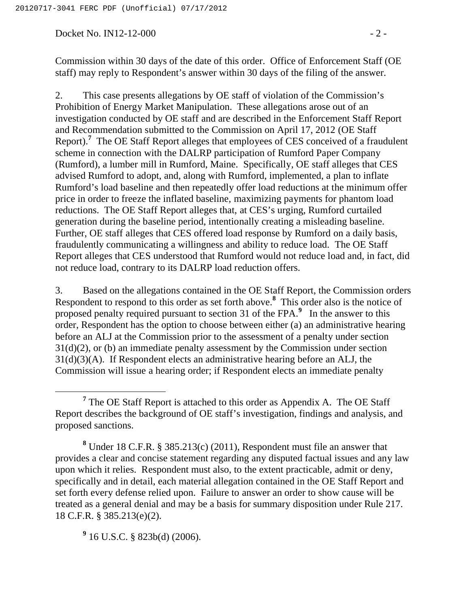Docket No. IN12-12-000 - 2 -

Commission within 30 days of the date of this order. Office of Enforcement Staff (OE staff) may reply to Respondent's answer within 30 days of the filing of the answer.

2. This case presents allegations by OE staff of violation of the Commission's Prohibition of Energy Market Manipulation. These allegations arose out of an investigation conducted by OE staff and are described in the Enforcement Staff Report and Recommendation submitted to the Commission on April 17, 2012 (OE Staff Report).**<sup>7</sup>** The OE Staff Report alleges that employees of CES conceived of a fraudulent scheme in connection with the DALRP participation of Rumford Paper Company (Rumford), a lumber mill in Rumford, Maine. Specifically, OE staff alleges that CES advised Rumford to adopt, and, along with Rumford, implemented, a plan to inflate Rumford's load baseline and then repeatedly offer load reductions at the minimum offer price in order to freeze the inflated baseline, maximizing payments for phantom load reductions. The OE Staff Report alleges that, at CES's urging, Rumford curtailed generation during the baseline period, intentionally creating a misleading baseline. Further, OE staff alleges that CES offered load response by Rumford on a daily basis, fraudulently communicating a willingness and ability to reduce load. The OE Staff Report alleges that CES understood that Rumford would not reduce load and, in fact, did not reduce load, contrary to its DALRP load reduction offers.

3. Based on the allegations contained in the OE Staff Report, the Commission orders Respondent to respond to this order as set forth above.**<sup>8</sup>** This order also is the notice of proposed penalty required pursuant to section 31 of the FPA.**<sup>9</sup>** In the answer to this order, Respondent has the option to choose between either (a) an administrative hearing before an ALJ at the Commission prior to the assessment of a penalty under section 31(d)(2), or (b) an immediate penalty assessment by the Commission under section 31(d)(3)(A). If Respondent elects an administrative hearing before an ALJ, the Commission will issue a hearing order; if Respondent elects an immediate penalty

**9** 16 U.S.C. § 823b(d) (2006).

**<sup>7</sup>**  $7$  The OE Staff Report is attached to this order as Appendix A. The OE Staff Report describes the background of OE staff's investigation, findings and analysis, and proposed sanctions.

**<sup>8</sup>** Under 18 C.F.R. § 385.213(c) (2011), Respondent must file an answer that provides a clear and concise statement regarding any disputed factual issues and any law upon which it relies. Respondent must also, to the extent practicable, admit or deny, specifically and in detail, each material allegation contained in the OE Staff Report and set forth every defense relied upon. Failure to answer an order to show cause will be treated as a general denial and may be a basis for summary disposition under Rule 217. 18 C.F.R. § 385.213(e)(2).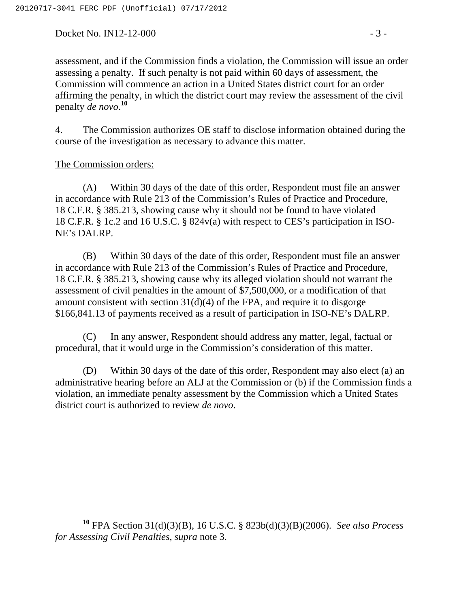Docket No. IN12-12-000 - 3 -

assessment, and if the Commission finds a violation, the Commission will issue an order assessing a penalty. If such penalty is not paid within 60 days of assessment, the Commission will commence an action in a United States district court for an order affirming the penalty, in which the district court may review the assessment of the civil penalty *de novo*. **10**

4. The Commission authorizes OE staff to disclose information obtained during the course of the investigation as necessary to advance this matter.

#### The Commission orders:

(A) Within 30 days of the date of this order, Respondent must file an answer in accordance with Rule 213 of the Commission's Rules of Practice and Procedure, 18 C.F.R. § 385.213, showing cause why it should not be found to have violated 18 C.F.R. § 1c.2 and 16 U.S.C. § 824v(a) with respect to CES's participation in ISO-NE's DALRP.

(B) Within 30 days of the date of this order, Respondent must file an answer in accordance with Rule 213 of the Commission's Rules of Practice and Procedure, 18 C.F.R. § 385.213, showing cause why its alleged violation should not warrant the assessment of civil penalties in the amount of \$7,500,000, or a modification of that amount consistent with section  $31(d)(4)$  of the FPA, and require it to disgorge \$166,841.13 of payments received as a result of participation in ISO-NE's DALRP.

(C) In any answer, Respondent should address any matter, legal, factual or procedural, that it would urge in the Commission's consideration of this matter.

(D) Within 30 days of the date of this order, Respondent may also elect (a) an administrative hearing before an ALJ at the Commission or (b) if the Commission finds a violation, an immediate penalty assessment by the Commission which a United States district court is authorized to review *de novo*.

**<sup>10</sup>** FPA Section 31(d)(3)(B), 16 U.S.C. § 823b(d)(3)(B)(2006). *See also Process for Assessing Civil Penalties, supra* note 3.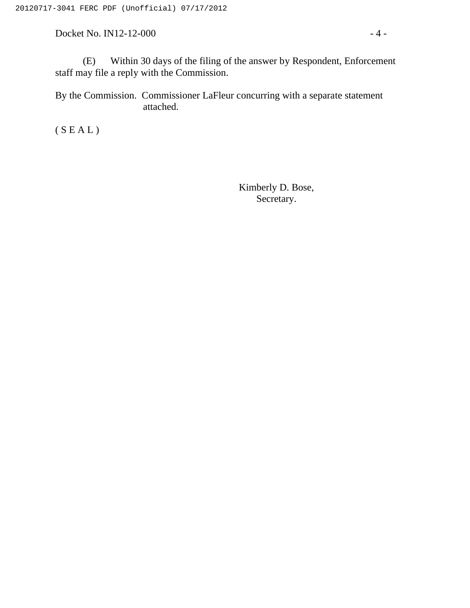Docket No. IN12-12-000 - 4 -

(E) Within 30 days of the filing of the answer by Respondent, Enforcement staff may file a reply with the Commission.

By the Commission. Commissioner LaFleur concurring with a separate statement attached.

 $(S E A L)$ 

Kimberly D. Bose, Secretary.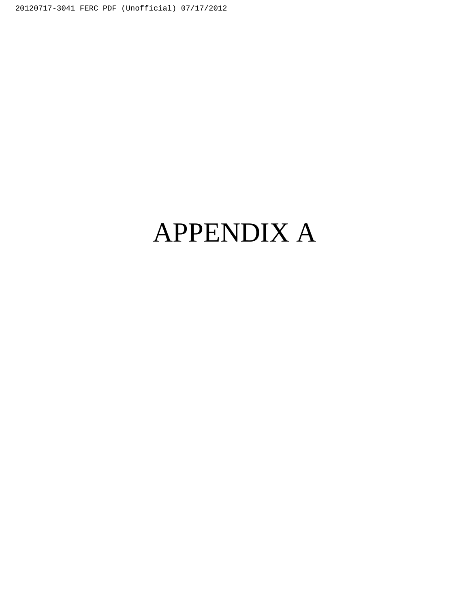20120717-3041 FERC PDF (Unofficial) 07/17/2012

# APPENDIX A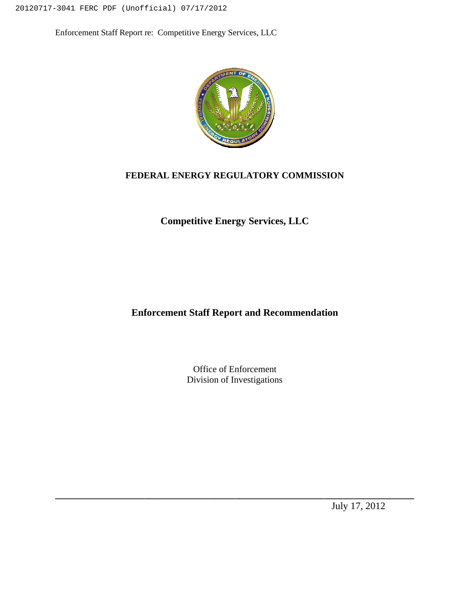20120717-3041 FERC PDF (Unofficial) 07/17/2012

Enforcement Staff Report re: Competitive Energy Services, LLC



#### **FEDERAL ENERGY REGULATORY COMMISSION**

**Competitive Energy Services, LLC**

**Enforcement Staff Report and Recommendation**

Office of Enforcement Division of Investigations

**\_\_\_\_\_\_\_\_\_\_\_\_\_\_\_\_\_\_\_\_\_\_\_\_\_\_\_\_\_\_\_\_\_\_\_\_\_\_\_\_\_\_\_\_\_\_\_\_\_\_\_\_\_\_\_\_\_\_\_\_\_\_\_\_\_\_\_\_\_\_\_\_**

July 17, 2012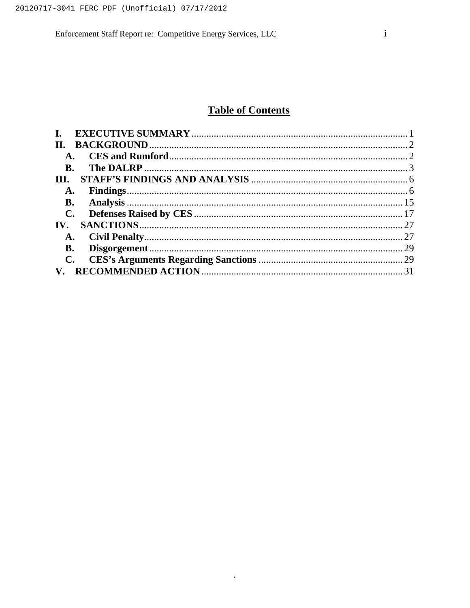# **Table of Contents**

| H.                     |  |
|------------------------|--|
| $\mathbf{A}$ .         |  |
| <b>B.</b>              |  |
| Ш.                     |  |
| A.                     |  |
| <b>B.</b>              |  |
| $\mathbf{C}$ .         |  |
| IV.                    |  |
| <b>A.</b>              |  |
| <b>B.</b>              |  |
| $\mathbf{C}$ .         |  |
| $\mathbf{V}_{\bullet}$ |  |

 $\star$  .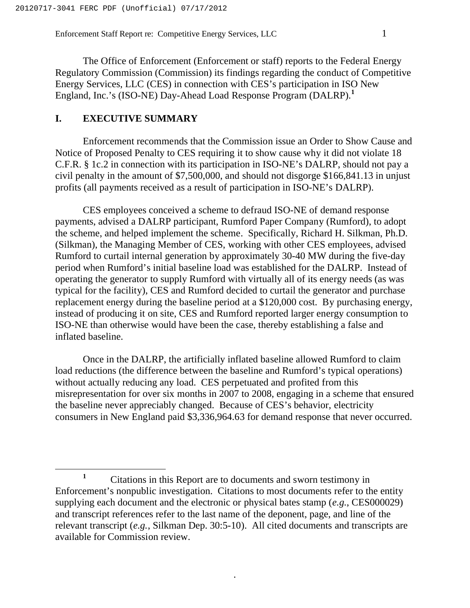The Office of Enforcement (Enforcement or staff) reports to the Federal Energy Regulatory Commission (Commission) its findings regarding the conduct of Competitive Energy Services, LLC (CES) in connection with CES's participation in ISO New England, Inc.'s (ISO-NE) Day-Ahead Load Response Program (DALRP).**<sup>1</sup>**

# **I. EXECUTIVE SUMMARY**

Enforcement recommends that the Commission issue an Order to Show Cause and Notice of Proposed Penalty to CES requiring it to show cause why it did not violate 18 C.F.R. § 1c.2 in connection with its participation in ISO-NE's DALRP, should not pay a civil penalty in the amount of \$7,500,000, and should not disgorge \$166,841.13 in unjust profits (all payments received as a result of participation in ISO-NE's DALRP).

CES employees conceived a scheme to defraud ISO-NE of demand response payments, advised a DALRP participant, Rumford Paper Company (Rumford), to adopt the scheme, and helped implement the scheme. Specifically, Richard H. Silkman, Ph.D. (Silkman), the Managing Member of CES, working with other CES employees, advised Rumford to curtail internal generation by approximately 30-40 MW during the five-day period when Rumford's initial baseline load was established for the DALRP. Instead of operating the generator to supply Rumford with virtually all of its energy needs (as was typical for the facility), CES and Rumford decided to curtail the generator and purchase replacement energy during the baseline period at a \$120,000 cost. By purchasing energy, instead of producing it on site, CES and Rumford reported larger energy consumption to ISO-NE than otherwise would have been the case, thereby establishing a false and inflated baseline.

Once in the DALRP, the artificially inflated baseline allowed Rumford to claim load reductions (the difference between the baseline and Rumford's typical operations) without actually reducing any load. CES perpetuated and profited from this misrepresentation for over six months in 2007 to 2008, engaging in a scheme that ensured the baseline never appreciably changed. Because of CES's behavior, electricity consumers in New England paid \$3,336,964.63 for demand response that never occurred.

<sup>&</sup>lt;sup>1</sup> Citations in this Report are to documents and sworn testimony in Enforcement's nonpublic investigation. Citations to most documents refer to the entity supplying each document and the electronic or physical bates stamp (*e.g.*, CES000029) and transcript references refer to the last name of the deponent, page, and line of the relevant transcript (*e.g.*, Silkman Dep. 30:5-10). All cited documents and transcripts are available for Commission review.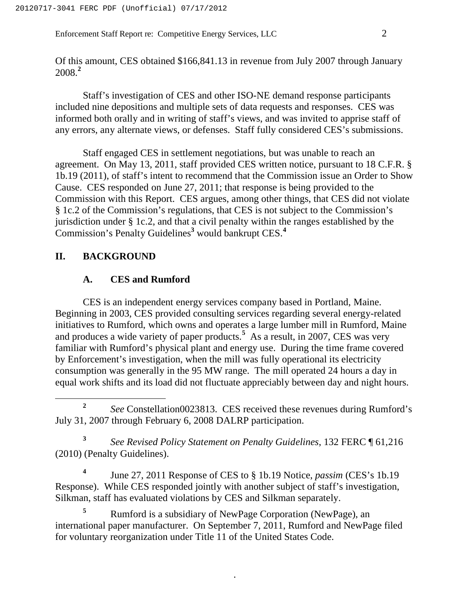Enforcement Staff Report re: Competitive Energy Services, LLC 2

Of this amount, CES obtained \$166,841.13 in revenue from July 2007 through January 2008.**<sup>2</sup>**

Staff's investigation of CES and other ISO-NE demand response participants included nine depositions and multiple sets of data requests and responses. CES was informed both orally and in writing of staff's views, and was invited to apprise staff of any errors, any alternate views, or defenses. Staff fully considered CES's submissions.

Staff engaged CES in settlement negotiations, but was unable to reach an agreement. On May 13, 2011, staff provided CES written notice, pursuant to 18 C.F.R. § 1b.19 (2011), of staff's intent to recommend that the Commission issue an Order to Show Cause. CES responded on June 27, 2011; that response is being provided to the Commission with this Report. CES argues, among other things, that CES did not violate § 1c.2 of the Commission's regulations, that CES is not subject to the Commission's jurisdiction under § 1c.2, and that a civil penalty within the ranges established by the Commission's Penalty Guidelines**<sup>3</sup>** would bankrupt CES.**<sup>4</sup>**

# **II. BACKGROUND**

# **A. CES and Rumford**

CES is an independent energy services company based in Portland, Maine. Beginning in 2003, CES provided consulting services regarding several energy-related initiatives to Rumford, which owns and operates a large lumber mill in Rumford, Maine and produces a wide variety of paper products.**<sup>5</sup>** As a result, in 2007, CES was very familiar with Rumford's physical plant and energy use. During the time frame covered by Enforcement's investigation, when the mill was fully operational its electricity consumption was generally in the 95 MW range. The mill operated 24 hours a day in equal work shifts and its load did not fluctuate appreciably between day and night hours.

**<sup>3</sup>** *See Revised Policy Statement on Penalty Guidelines*, 132 FERC ¶ 61,216 (2010) (Penalty Guidelines).

**<sup>4</sup>** June 27, 2011 Response of CES to § 1b.19 Notice, *passim* (CES's 1b.19 Response). While CES responded jointly with another subject of staff's investigation, Silkman, staff has evaluated violations by CES and Silkman separately.

**<sup>5</sup>** Rumford is a subsidiary of NewPage Corporation (NewPage), an international paper manufacturer. On September 7, 2011, Rumford and NewPage filed for voluntary reorganization under Title 11 of the United States Code.

**<sup>2</sup>** *See* Constellation0023813. CES received these revenues during Rumford's July 31, 2007 through February 6, 2008 DALRP participation.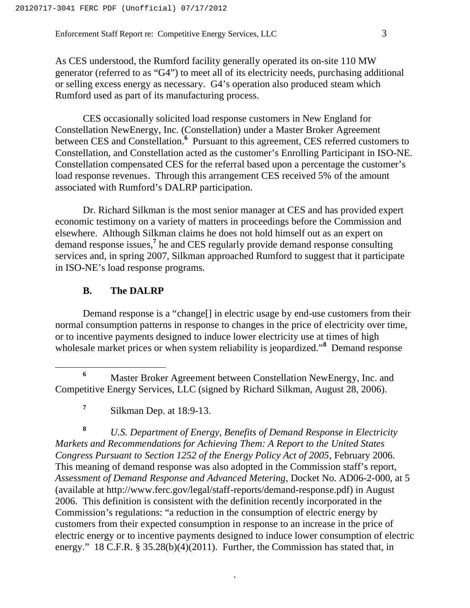As CES understood, the Rumford facility generally operated its on-site 110 MW generator (referred to as "G4") to meet all of its electricity needs, purchasing additional or selling excess energy as necessary. G4's operation also produced steam which Rumford used as part of its manufacturing process.

CES occasionally solicited load response customers in New England for Constellation NewEnergy, Inc. (Constellation) under a Master Broker Agreement between CES and Constellation.<sup>6</sup> Pursuant to this agreement, CES referred customers to Constellation, and Constellation acted as the customer's Enrolling Participant in ISO-NE. Constellation compensated CES for the referral based upon a percentage the customer's load response revenues. Through this arrangement CES received 5% of the amount associated with Rumford's DALRP participation.

Dr. Richard Silkman is the most senior manager at CES and has provided expert economic testimony on a variety of matters in proceedings before the Commission and elsewhere. Although Silkman claims he does not hold himself out as an expert on demand response issues,**<sup>7</sup>** he and CES regularly provide demand response consulting services and, in spring 2007, Silkman approached Rumford to suggest that it participate in ISO-NE's load response programs.

# **B. The DALRP**

Demand response is a "change[] in electric usage by end-use customers from their normal consumption patterns in response to changes in the price of electricity over time, or to incentive payments designed to induce lower electricity use at times of high wholesale market prices or when system reliability is jeopardized."<sup>8</sup> Demand response

**<sup>8</sup>** *U.S. Department of Energy, Benefits of Demand Response in Electricity Markets and Recommendations for Achieving Them: A Report to the United States Congress Pursuant to Section 1252 of the Energy Policy Act of 2005*, February 2006. This meaning of demand response was also adopted in the Commission staff's report, *Assessment of Demand Response and Advanced Metering*, Docket No. AD06-2-000, at 5 (available at http://www.ferc.gov/legal/staff-reports/demand-response.pdf) in August 2006. This definition is consistent with the definition recently incorporated in the Commission's regulations: "a reduction in the consumption of electric energy by customers from their expected consumption in response to an increase in the price of electric energy or to incentive payments designed to induce lower consumption of electric energy." 18 C.F.R. § 35.28(b)(4)(2011). Further, the Commission has stated that, in

**<sup>6</sup>** Master Broker Agreement between Constellation NewEnergy, Inc. and Competitive Energy Services, LLC (signed by Richard Silkman, August 28, 2006).

<sup>&</sup>lt;sup>7</sup> Silkman Dep. at 18:9-13.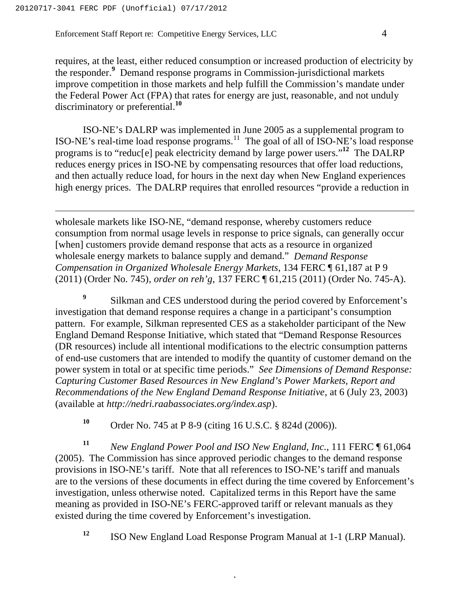requires, at the least, either reduced consumption or increased production of electricity by the responder.**<sup>9</sup>** Demand response programs in Commission-jurisdictional markets improve competition in those markets and help fulfill the Commission's mandate under the Federal Power Act (FPA) that rates for energy are just, reasonable, and not unduly discriminatory or preferential.**<sup>10</sup>**

ISO-NE's DALRP was implemented in June 2005 as a supplemental program to ISO-NE's real-time load response programs.<sup>11</sup> The goal of all of ISO-NE's load response programs is to "reduc[e] peak electricity demand by large power users."**<sup>12</sup>** The DALRP reduces energy prices in ISO-NE by compensating resources that offer load reductions, and then actually reduce load, for hours in the next day when New England experiences high energy prices. The DALRP requires that enrolled resources "provide a reduction in

wholesale markets like ISO-NE, "demand response, whereby customers reduce consumption from normal usage levels in response to price signals, can generally occur [when] customers provide demand response that acts as a resource in organized wholesale energy markets to balance supply and demand." *Demand Response Compensation in Organized Wholesale Energy Markets*, 134 FERC ¶ 61,187 at P 9 (2011) (Order No. 745), *order on reh'g*, 137 FERC ¶ 61,215 (2011) (Order No. 745-A).

<sup>9</sup> Silkman and CES understood during the period covered by Enforcement's investigation that demand response requires a change in a participant's consumption pattern. For example, Silkman represented CES as a stakeholder participant of the New England Demand Response Initiative, which stated that "Demand Response Resources (DR resources) include all intentional modifications to the electric consumption patterns of end-use customers that are intended to modify the quantity of customer demand on the power system in total or at specific time periods." *See Dimensions of Demand Response: Capturing Customer Based Resources in New England's Power Markets, Report and Recommendations of the New England Demand Response Initiative*, at 6 (July 23, 2003) (available at *http://nedri.raabassociates.org/index.asp*).

**<sup>10</sup>** Order No. 745 at P 8-9 (citing 16 U.S.C. § 824d (2006)).

**<sup>11</sup>** *New England Power Pool and ISO New England, Inc.*, 111 FERC ¶ 61,064 (2005). The Commission has since approved periodic changes to the demand response provisions in ISO-NE's tariff. Note that all references to ISO-NE's tariff and manuals are to the versions of these documents in effect during the time covered by Enforcement's investigation, unless otherwise noted. Capitalized terms in this Report have the same meaning as provided in ISO-NE's FERC-approved tariff or relevant manuals as they existed during the time covered by Enforcement's investigation.

**<sup>12</sup>** ISO New England Load Response Program Manual at 1-1 (LRP Manual).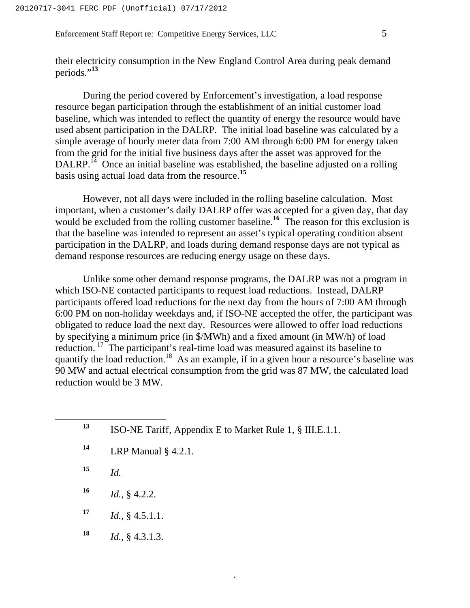their electricity consumption in the New England Control Area during peak demand periods."**<sup>13</sup>**

During the period covered by Enforcement's investigation, a load response resource began participation through the establishment of an initial customer load baseline, which was intended to reflect the quantity of energy the resource would have used absent participation in the DALRP. The initial load baseline was calculated by a simple average of hourly meter data from 7:00 AM through 6:00 PM for energy taken from the grid for the initial five business days after the asset was approved for the DALRP.<sup>14</sup> Once an initial baseline was established, the baseline adjusted on a rolling basis using actual load data from the resource.**<sup>15</sup>**

However, not all days were included in the rolling baseline calculation. Most important, when a customer's daily DALRP offer was accepted for a given day, that day would be excluded from the rolling customer baseline.<sup>16</sup> The reason for this exclusion is that the baseline was intended to represent an asset's typical operating condition absent participation in the DALRP, and loads during demand response days are not typical as demand response resources are reducing energy usage on these days.

Unlike some other demand response programs, the DALRP was not a program in which ISO-NE contacted participants to request load reductions. Instead, DALRP participants offered load reductions for the next day from the hours of 7:00 AM through 6:00 PM on non-holiday weekdays and, if ISO-NE accepted the offer, the participant was obligated to reduce load the next day. Resources were allowed to offer load reductions by specifying a minimum price (in \$/MWh) and a fixed amount (in MW/h) of load reduction.<sup>17</sup> The participant's real-time load was measured against its baseline to quantify the load reduction.18 As an example, if in a given hour a resource's baseline was 90 MW and actual electrical consumption from the grid was 87 MW, the calculated load reduction would be 3 MW.

| 13 | ISO-NE Tariff, Appendix E to Market Rule 1, § III.E.1.1. |
|----|----------------------------------------------------------|
| 14 | LRP Manual $\S$ 4.2.1.                                   |
| 15 | Id.                                                      |
| 16 | $Id.$ , § 4.2.2.                                         |
| 17 | Id., § 4.5.1.1.                                          |
| 18 | Id., § 4.3.1.3.                                          |
|    |                                                          |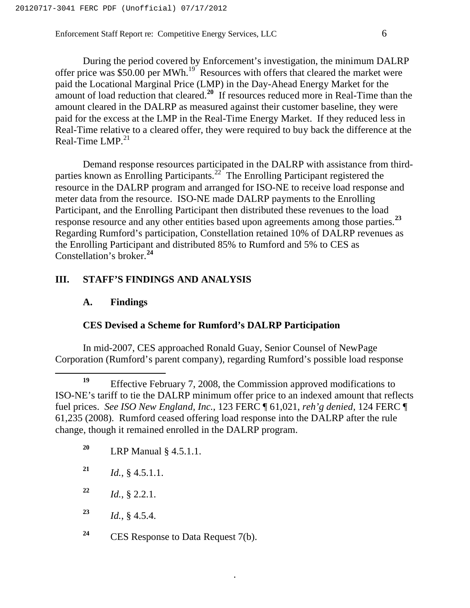During the period covered by Enforcement's investigation, the minimum DALRP offer price was  $$50.00$  per MWh.<sup>19</sup> Resources with offers that cleared the market were paid the Locational Marginal Price (LMP) in the Day-Ahead Energy Market for the amount of load reduction that cleared.**<sup>20</sup>** If resources reduced more in Real-Time than the amount cleared in the DALRP as measured against their customer baseline, they were paid for the excess at the LMP in the Real-Time Energy Market. If they reduced less in Real-Time relative to a cleared offer, they were required to buy back the difference at the Real-Time LMP. $^{21}$ 

Demand response resources participated in the DALRP with assistance from thirdparties known as Enrolling Participants.22 The Enrolling Participant registered the resource in the DALRP program and arranged for ISO-NE to receive load response and meter data from the resource. ISO-NE made DALRP payments to the Enrolling Participant, and the Enrolling Participant then distributed these revenues to the load response resource and any other entities based upon agreements among those parties.**<sup>23</sup>** Regarding Rumford's participation, Constellation retained 10% of DALRP revenues as the Enrolling Participant and distributed 85% to Rumford and 5% to CES as Constellation's broker.**<sup>24</sup>**

# **III. STAFF'S FINDINGS AND ANALYSIS**

#### **A. Findings**

#### **CES Devised a Scheme for Rumford's DALRP Participation**

In mid-2007, CES approached Ronald Guay, Senior Counsel of NewPage Corporation (Rumford's parent company), regarding Rumford's possible load response

 **<sup>19</sup>** Effective February 7, 2008, the Commission approved modifications to ISO-NE's tariff to tie the DALRP minimum offer price to an indexed amount that reflects fuel prices. *See ISO New England, Inc.*, 123 FERC ¶ 61,021, *reh'g denied*, 124 FERC ¶ 61,235 (2008). Rumford ceased offering load response into the DALRP after the rule change, though it remained enrolled in the DALRP program.

- **<sup>20</sup>** LRP Manual § 4.5.1.1.
- $^{21}$  *Id.*, § 4.5.1.1.
- **<sup>22</sup>** *Id.*, § 2.2.1.
- **<sup>23</sup>** *Id.*, § 4.5.4.
- **<sup>24</sup>** CES Response to Data Request 7(b).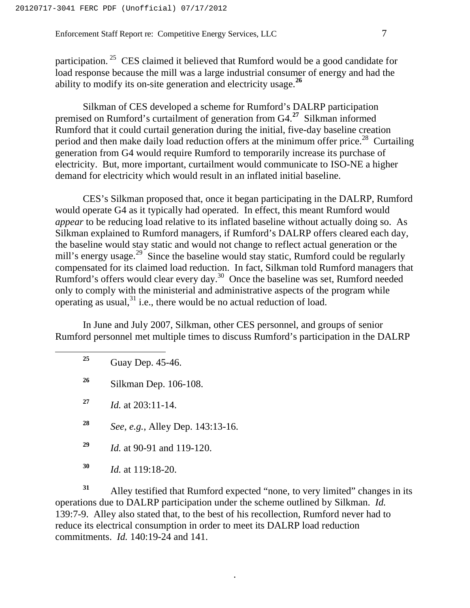participation.<sup>25</sup> CES claimed it believed that Rumford would be a good candidate for load response because the mill was a large industrial consumer of energy and had the ability to modify its on-site generation and electricity usage.**<sup>26</sup>**

Silkman of CES developed a scheme for Rumford's DALRP participation premised on Rumford's curtailment of generation from G4.**<sup>27</sup>** Silkman informed Rumford that it could curtail generation during the initial, five-day baseline creation period and then make daily load reduction offers at the minimum offer price.<sup>28</sup> Curtailing generation from G4 would require Rumford to temporarily increase its purchase of electricity. But, more important, curtailment would communicate to ISO-NE a higher demand for electricity which would result in an inflated initial baseline.

CES's Silkman proposed that, once it began participating in the DALRP, Rumford would operate G4 as it typically had operated. In effect, this meant Rumford would *appear* to be reducing load relative to its inflated baseline without actually doing so. As Silkman explained to Rumford managers, if Rumford's DALRP offers cleared each day, the baseline would stay static and would not change to reflect actual generation or the mill's energy usage.<sup>29</sup> Since the baseline would stay static, Rumford could be regularly compensated for its claimed load reduction. In fact, Silkman told Rumford managers that Rumford's offers would clear every day.30 Once the baseline was set, Rumford needed only to comply with the ministerial and administrative aspects of the program while operating as usual,  $31$  i.e., there would be no actual reduction of load.

In June and July 2007, Silkman, other CES personnel, and groups of senior Rumford personnel met multiple times to discuss Rumford's participation in the DALRP

**<sup>25</sup>** Guay Dep. 45-46.

**<sup>26</sup>** Silkman Dep. 106-108.

**<sup>27</sup>** *Id.* at 203:11-14.

**<sup>28</sup>** *See*, *e.g.*, Alley Dep. 143:13-16.

**<sup>29</sup>** *Id.* at 90-91 and 119-120.

**<sup>30</sup>** *Id.* at 119:18-20.

**<sup>31</sup>** Alley testified that Rumford expected "none, to very limited" changes in its operations due to DALRP participation under the scheme outlined by Silkman. *Id.* 139:7-9. Alley also stated that, to the best of his recollection, Rumford never had to reduce its electrical consumption in order to meet its DALRP load reduction commitments. *Id.* 140:19-24 and 141.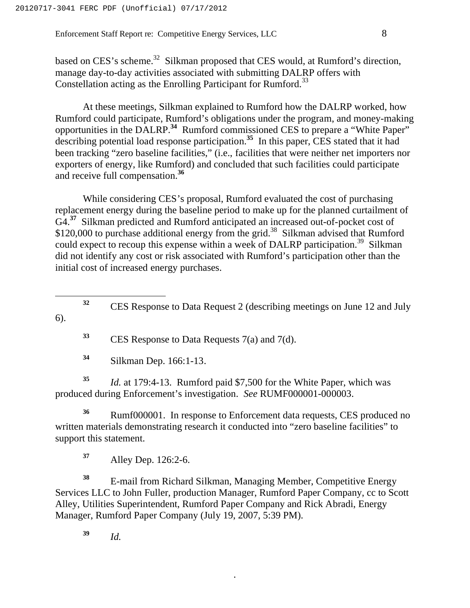based on CES's scheme.<sup>32</sup> Silkman proposed that CES would, at Rumford's direction, manage day-to-day activities associated with submitting DALRP offers with Constellation acting as the Enrolling Participant for Rumford.<sup>33</sup>

At these meetings, Silkman explained to Rumford how the DALRP worked, how Rumford could participate, Rumford's obligations under the program, and money-making opportunities in the DALRP.**<sup>34</sup>** Rumford commissioned CES to prepare a "White Paper" describing potential load response participation.**<sup>35</sup>** In this paper, CES stated that it had been tracking "zero baseline facilities," (i.e., facilities that were neither net importers nor exporters of energy, like Rumford) and concluded that such facilities could participate and receive full compensation.**<sup>36</sup>**

While considering CES's proposal, Rumford evaluated the cost of purchasing replacement energy during the baseline period to make up for the planned curtailment of G4.**<sup>37</sup>** Silkman predicted and Rumford anticipated an increased out-of-pocket cost of \$120,000 to purchase additional energy from the grid.<sup>38</sup> Silkman advised that Rumford could expect to recoup this expense within a week of DALRP participation.<sup>39</sup> Silkman did not identify any cost or risk associated with Rumford's participation other than the initial cost of increased energy purchases.

 **<sup>32</sup>** CES Response to Data Request 2 (describing meetings on June 12 and July 6).

**<sup>33</sup>** CES Response to Data Requests 7(a) and 7(d).

**<sup>34</sup>** Silkman Dep. 166:1-13.

**<sup>35</sup>** *Id.* at 179:4-13. Rumford paid \$7,500 for the White Paper, which was produced during Enforcement's investigation. *See* RUMF000001-000003.

**<sup>36</sup>** Rumf000001. In response to Enforcement data requests, CES produced no written materials demonstrating research it conducted into "zero baseline facilities" to support this statement.

**<sup>37</sup>** Alley Dep. 126:2-6.

<sup>38</sup> E-mail from Richard Silkman, Managing Member, Competitive Energy Services LLC to John Fuller, production Manager, Rumford Paper Company, cc to Scott Alley, Utilities Superintendent, Rumford Paper Company and Rick Abradi, Energy Manager, Rumford Paper Company (July 19, 2007, 5:39 PM).

.

**<sup>39</sup>** *Id.*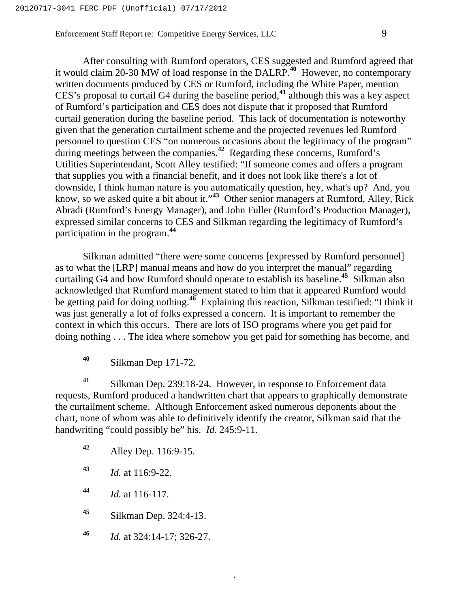After consulting with Rumford operators, CES suggested and Rumford agreed that it would claim 20-30 MW of load response in the DALRP.**<sup>40</sup>** However, no contemporary written documents produced by CES or Rumford, including the White Paper, mention CES's proposal to curtail G4 during the baseline period,**<sup>41</sup>** although this was a key aspect of Rumford's participation and CES does not dispute that it proposed that Rumford curtail generation during the baseline period. This lack of documentation is noteworthy given that the generation curtailment scheme and the projected revenues led Rumford personnel to question CES "on numerous occasions about the legitimacy of the program" during meetings between the companies.<sup>42</sup> Regarding these concerns, Rumford's Utilities Superintendant, Scott Alley testified: "If someone comes and offers a program that supplies you with a financial benefit, and it does not look like there's a lot of downside, I think human nature is you automatically question, hey, what's up? And, you know, so we asked quite a bit about it."**<sup>43</sup>** Other senior managers at Rumford, Alley, Rick Abradi (Rumford's Energy Manager), and John Fuller (Rumford's Production Manager), expressed similar concerns to CES and Silkman regarding the legitimacy of Rumford's participation in the program.**<sup>44</sup>**

Silkman admitted "there were some concerns [expressed by Rumford personnel] as to what the [LRP] manual means and how do you interpret the manual" regarding curtailing G4 and how Rumford should operate to establish its baseline.**<sup>45</sup>** Silkman also acknowledged that Rumford management stated to him that it appeared Rumford would be getting paid for doing nothing.**<sup>46</sup>** Explaining this reaction, Silkman testified: "I think it was just generally a lot of folks expressed a concern. It is important to remember the context in which this occurs. There are lots of ISO programs where you get paid for doing nothing . . . The idea where somehow you get paid for something has become, and

**<sup>40</sup>** Silkman Dep 171-72.

**<sup>41</sup>** Silkman Dep. 239:18-24. However, in response to Enforcement data requests, Rumford produced a handwritten chart that appears to graphically demonstrate the curtailment scheme. Although Enforcement asked numerous deponents about the chart, none of whom was able to definitively identify the creator, Silkman said that the handwriting "could possibly be" his. *Id.* 245:9-11.

.

**<sup>42</sup>** Alley Dep. 116:9-15.

**<sup>43</sup>** *Id.* at 116:9-22.

**<sup>44</sup>** *Id.* at 116-117.

**<sup>45</sup>** Silkman Dep. 324:4-13.

**<sup>46</sup>** *Id.* at 324:14-17; 326-27.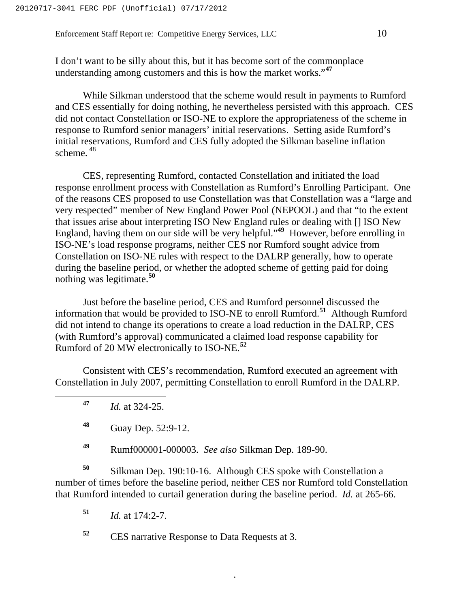I don't want to be silly about this, but it has become sort of the commonplace understanding among customers and this is how the market works."**<sup>47</sup>**

While Silkman understood that the scheme would result in payments to Rumford and CES essentially for doing nothing, he nevertheless persisted with this approach. CES did not contact Constellation or ISO-NE to explore the appropriateness of the scheme in response to Rumford senior managers' initial reservations. Setting aside Rumford's initial reservations, Rumford and CES fully adopted the Silkman baseline inflation scheme. <sup>48</sup>

CES, representing Rumford, contacted Constellation and initiated the load response enrollment process with Constellation as Rumford's Enrolling Participant. One of the reasons CES proposed to use Constellation was that Constellation was a "large and very respected" member of New England Power Pool (NEPOOL) and that "to the extent that issues arise about interpreting ISO New England rules or dealing with [] ISO New England, having them on our side will be very helpful."**<sup>49</sup>** However, before enrolling in ISO-NE's load response programs, neither CES nor Rumford sought advice from Constellation on ISO-NE rules with respect to the DALRP generally, how to operate during the baseline period, or whether the adopted scheme of getting paid for doing nothing was legitimate.**<sup>50</sup>**

Just before the baseline period, CES and Rumford personnel discussed the information that would be provided to ISO-NE to enroll Rumford.**<sup>51</sup>** Although Rumford did not intend to change its operations to create a load reduction in the DALRP, CES (with Rumford's approval) communicated a claimed load response capability for Rumford of 20 MW electronically to ISO-NE.**<sup>52</sup>**

Consistent with CES's recommendation, Rumford executed an agreement with Constellation in July 2007, permitting Constellation to enroll Rumford in the DALRP.

**<sup>47</sup>** *Id.* at 324-25.

**<sup>49</sup>** Rumf000001-000003. *See also* Silkman Dep. 189-90.

**<sup>50</sup>** Silkman Dep. 190:10-16. Although CES spoke with Constellation a number of times before the baseline period, neither CES nor Rumford told Constellation that Rumford intended to curtail generation during the baseline period. *Id.* at 265-66.

.

**<sup>51</sup>** *Id.* at 174:2-7.

**<sup>52</sup>** CES narrative Response to Data Requests at 3.

**<sup>48</sup>** Guay Dep. 52:9-12.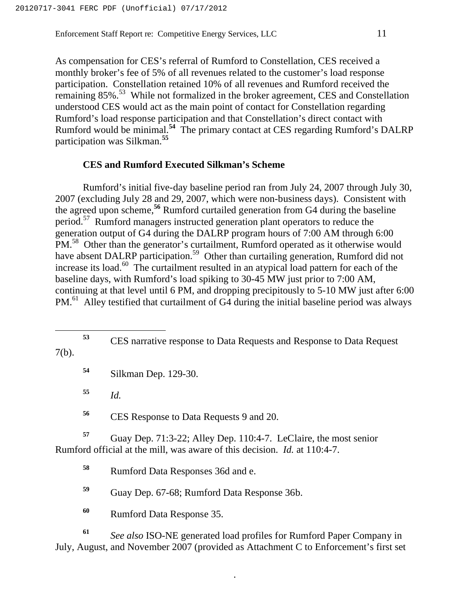As compensation for CES's referral of Rumford to Constellation, CES received a monthly broker's fee of 5% of all revenues related to the customer's load response participation. Constellation retained 10% of all revenues and Rumford received the remaining 85%.<sup>53</sup> While not formalized in the broker agreement, CES and Constellation understood CES would act as the main point of contact for Constellation regarding Rumford's load response participation and that Constellation's direct contact with Rumford would be minimal.**<sup>54</sup>** The primary contact at CES regarding Rumford's DALRP participation was Silkman.**<sup>55</sup>**

#### **CES and Rumford Executed Silkman's Scheme**

Rumford's initial five-day baseline period ran from July 24, 2007 through July 30, 2007 (excluding July 28 and 29, 2007, which were non-business days). Consistent with the agreed upon scheme,**<sup>56</sup>** Rumford curtailed generation from G4 during the baseline period.57 Rumford managers instructed generation plant operators to reduce the generation output of G4 during the DALRP program hours of 7:00 AM through 6:00 PM.<sup>58</sup> Other than the generator's curtailment, Rumford operated as it otherwise would have absent DALRP participation.<sup>59</sup> Other than curtailing generation, Rumford did not increase its load.<sup>60</sup> The curtailment resulted in an atypical load pattern for each of the baseline days, with Rumford's load spiking to 30-45 MW just prior to 7:00 AM, continuing at that level until 6 PM, and dropping precipitously to 5-10 MW just after 6:00 PM.<sup>61</sup> Alley testified that curtailment of G4 during the initial baseline period was always

**<sup>54</sup>** Silkman Dep. 129-30.

**<sup>55</sup>** *Id.*

**<sup>56</sup>** CES Response to Data Requests 9 and 20.

**<sup>57</sup>** Guay Dep. 71:3-22; Alley Dep. 110:4-7. LeClaire, the most senior Rumford official at the mill, was aware of this decision. *Id.* at 110:4-7.

**<sup>58</sup>** Rumford Data Responses 36d and e.

**<sup>59</sup>** Guay Dep. 67-68; Rumford Data Response 36b.

**<sup>60</sup>** Rumford Data Response 35.

**<sup>61</sup>** *See also* ISO-NE generated load profiles for Rumford Paper Company in July, August, and November 2007 (provided as Attachment C to Enforcement's first set

**<sup>53</sup>** CES narrative response to Data Requests and Response to Data Request 7(b).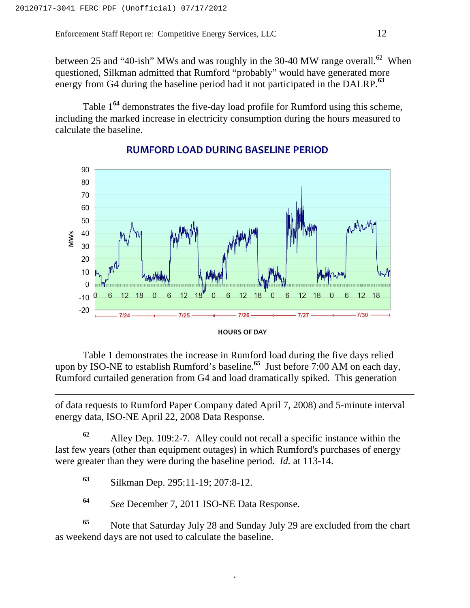between 25 and "40-ish" MWs and was roughly in the 30-40 MW range overall.<sup>62</sup> When questioned, Silkman admitted that Rumford "probably" would have generated more energy from G4 during the baseline period had it not participated in the DALRP.**<sup>63</sup>**

Table 1**<sup>64</sup>** demonstrates the five-day load profile for Rumford using this scheme, including the marked increase in electricity consumption during the hours measured to calculate the baseline.



#### **RUMFORD LOAD DURING BASELINE PERIOD**



 Table 1 demonstrates the increase in Rumford load during the five days relied upon by ISO-NE to establish Rumford's baseline.**<sup>65</sup>** Just before 7:00 AM on each day, Rumford curtailed generation from G4 and load dramatically spiked. This generation

of data requests to Rumford Paper Company dated April 7, 2008) and 5-minute interval energy data, ISO-NE April 22, 2008 Data Response.

**<sup>62</sup>** Alley Dep. 109:2-7. Alley could not recall a specific instance within the last few years (other than equipment outages) in which Rumford's purchases of energy were greater than they were during the baseline period. *Id.* at 113-14.

**<sup>63</sup>** Silkman Dep. 295:11-19; 207:8-12.

**<sup>64</sup>** *See* December 7, 2011 ISO-NE Data Response.

**<sup>65</sup>** Note that Saturday July 28 and Sunday July 29 are excluded from the chart as weekend days are not used to calculate the baseline.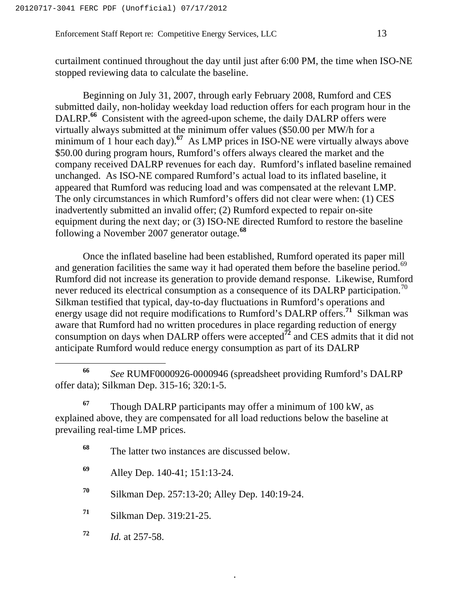curtailment continued throughout the day until just after 6:00 PM, the time when ISO-NE stopped reviewing data to calculate the baseline.

Beginning on July 31, 2007, through early February 2008, Rumford and CES submitted daily, non-holiday weekday load reduction offers for each program hour in the DALRP.<sup>66</sup> Consistent with the agreed-upon scheme, the daily DALRP offers were virtually always submitted at the minimum offer values (\$50.00 per MW/h for a minimum of 1 hour each day).**<sup>67</sup>** As LMP prices in ISO-NE were virtually always above \$50.00 during program hours, Rumford's offers always cleared the market and the company received DALRP revenues for each day. Rumford's inflated baseline remained unchanged. As ISO-NE compared Rumford's actual load to its inflated baseline, it appeared that Rumford was reducing load and was compensated at the relevant LMP. The only circumstances in which Rumford's offers did not clear were when: (1) CES inadvertently submitted an invalid offer; (2) Rumford expected to repair on-site equipment during the next day; or (3) ISO-NE directed Rumford to restore the baseline following a November 2007 generator outage.**<sup>68</sup>**

Once the inflated baseline had been established, Rumford operated its paper mill and generation facilities the same way it had operated them before the baseline period.<sup>69</sup> Rumford did not increase its generation to provide demand response. Likewise, Rumford never reduced its electrical consumption as a consequence of its DALRP participation.<sup>70</sup> Silkman testified that typical, day-to-day fluctuations in Rumford's operations and energy usage did not require modifications to Rumford's DALRP offers.**<sup>71</sup>** Silkman was aware that Rumford had no written procedures in place regarding reduction of energy consumption on days when DALRP offers were accepted**<sup>72</sup>** and CES admits that it did not anticipate Rumford would reduce energy consumption as part of its DALRP

- **<sup>68</sup>** The latter two instances are discussed below.
- **<sup>69</sup>** Alley Dep. 140-41; 151:13-24.
- **<sup>70</sup>** Silkman Dep. 257:13-20; Alley Dep. 140:19-24.
- **<sup>71</sup>** Silkman Dep. 319:21-25.
- **<sup>72</sup>** *Id.* at 257-58.

**<sup>66</sup>** *See* RUMF0000926-0000946 (spreadsheet providing Rumford's DALRP offer data); Silkman Dep. 315-16; 320:1-5.

**<sup>67</sup>** Though DALRP participants may offer a minimum of 100 kW, as explained above, they are compensated for all load reductions below the baseline at prevailing real-time LMP prices.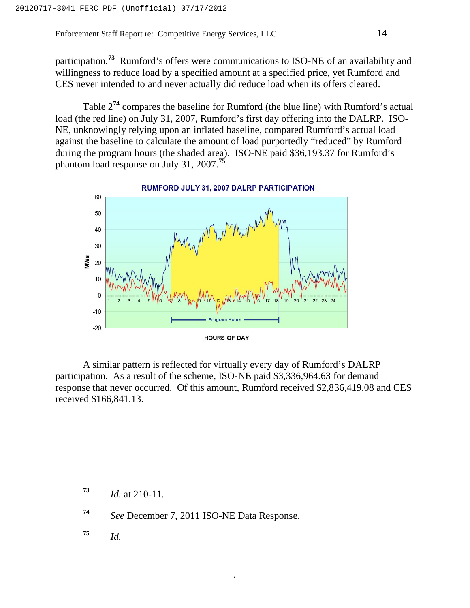participation.**<sup>73</sup>** Rumford's offers were communications to ISO-NE of an availability and willingness to reduce load by a specified amount at a specified price, yet Rumford and CES never intended to and never actually did reduce load when its offers cleared.

Table 2**<sup>74</sup>** compares the baseline for Rumford (the blue line) with Rumford's actual load (the red line) on July 31, 2007, Rumford's first day offering into the DALRP. ISO-NE, unknowingly relying upon an inflated baseline, compared Rumford's actual load against the baseline to calculate the amount of load purportedly "reduced" by Rumford during the program hours (the shaded area). ISO-NE paid \$36,193.37 for Rumford's phantom load response on July 31, 2007.**<sup>75</sup>**



A similar pattern is reflected for virtually every day of Rumford's DALRP participation. As a result of the scheme, ISO-NE paid \$3,336,964.63 for demand response that never occurred. Of this amount, Rumford received \$2,836,419.08 and CES received \$166,841.13.

.

**<sup>73</sup>** *Id.* at 210-11.

**<sup>74</sup>** *See* December 7, 2011 ISO-NE Data Response.

**<sup>75</sup>** *Id.*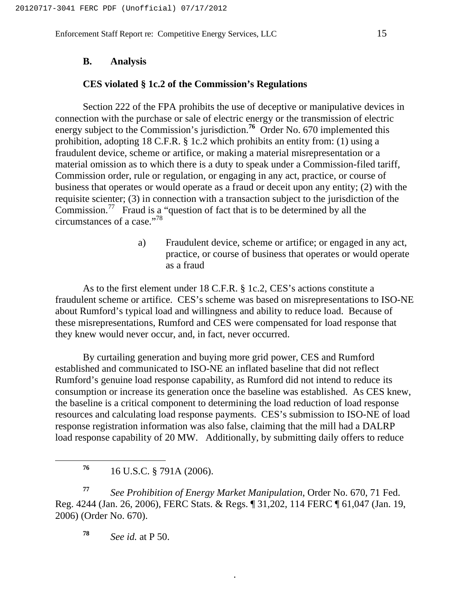#### **B. Analysis**

#### **CES violated § 1c.2 of the Commission's Regulations**

Section 222 of the FPA prohibits the use of deceptive or manipulative devices in connection with the purchase or sale of electric energy or the transmission of electric energy subject to the Commission's jurisdiction.<sup>76</sup> Order No. 670 implemented this prohibition, adopting 18 C.F.R. § 1c.2 which prohibits an entity from: (1) using a fraudulent device, scheme or artifice, or making a material misrepresentation or a material omission as to which there is a duty to speak under a Commission-filed tariff, Commission order, rule or regulation, or engaging in any act, practice, or course of business that operates or would operate as a fraud or deceit upon any entity; (2) with the requisite scienter; (3) in connection with a transaction subject to the jurisdiction of the Commission.77 Fraud is a "question of fact that is to be determined by all the circumstances of a case."<sup>78</sup>

> a) Fraudulent device, scheme or artifice; or engaged in any act, practice, or course of business that operates or would operate as a fraud

As to the first element under 18 C.F.R. § 1c.2, CES's actions constitute a fraudulent scheme or artifice. CES's scheme was based on misrepresentations to ISO-NE about Rumford's typical load and willingness and ability to reduce load. Because of these misrepresentations, Rumford and CES were compensated for load response that they knew would never occur, and, in fact, never occurred.

By curtailing generation and buying more grid power, CES and Rumford established and communicated to ISO-NE an inflated baseline that did not reflect Rumford's genuine load response capability, as Rumford did not intend to reduce its consumption or increase its generation once the baseline was established. As CES knew, the baseline is a critical component to determining the load reduction of load response resources and calculating load response payments. CES's submission to ISO-NE of load response registration information was also false, claiming that the mill had a DALRP load response capability of 20 MW. Additionally, by submitting daily offers to reduce

**<sup>77</sup>** *See Prohibition of Energy Market Manipulation*, Order No. 670, 71 Fed. Reg. 4244 (Jan. 26, 2006), FERC Stats. & Regs. ¶ 31,202, 114 FERC ¶ 61,047 (Jan. 19, 2006) (Order No. 670).

.

**<sup>78</sup>** *See id.* at P 50.

**<sup>76</sup>** 16 U.S.C. § 791A (2006).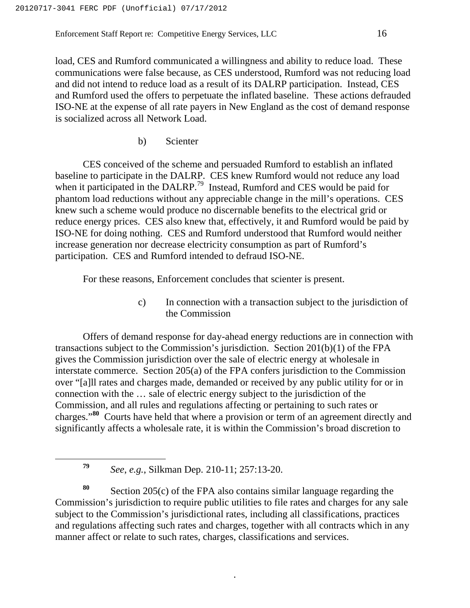load, CES and Rumford communicated a willingness and ability to reduce load. These communications were false because, as CES understood, Rumford was not reducing load and did not intend to reduce load as a result of its DALRP participation. Instead, CES and Rumford used the offers to perpetuate the inflated baseline. These actions defrauded ISO-NE at the expense of all rate payers in New England as the cost of demand response is socialized across all Network Load.

b) Scienter

CES conceived of the scheme and persuaded Rumford to establish an inflated baseline to participate in the DALRP. CES knew Rumford would not reduce any load when it participated in the DALRP.<sup>79</sup> Instead, Rumford and CES would be paid for phantom load reductions without any appreciable change in the mill's operations. CES knew such a scheme would produce no discernable benefits to the electrical grid or reduce energy prices. CES also knew that, effectively, it and Rumford would be paid by ISO-NE for doing nothing. CES and Rumford understood that Rumford would neither increase generation nor decrease electricity consumption as part of Rumford's participation. CES and Rumford intended to defraud ISO-NE.

For these reasons, Enforcement concludes that scienter is present.

c) In connection with a transaction subject to the jurisdiction of the Commission

Offers of demand response for day-ahead energy reductions are in connection with transactions subject to the Commission's jurisdiction. Section 201(b)(1) of the FPA gives the Commission jurisdiction over the sale of electric energy at wholesale in interstate commerce. Section 205(a) of the FPA confers jurisdiction to the Commission over "[a]ll rates and charges made, demanded or received by any public utility for or in connection with the … sale of electric energy subject to the jurisdiction of the Commission, and all rules and regulations affecting or pertaining to such rates or charges."**<sup>80</sup>** Courts have held that where a provision or term of an agreement directly and significantly affects a wholesale rate, it is within the Commission's broad discretion to

**<sup>79</sup>** *See*, *e.g.*, Silkman Dep. 210-11; 257:13-20.

**<sup>80</sup>** Section 205(c) of the FPA also contains similar language regarding the Commission's jurisdiction to require public utilities to file rates and charges for any sale subject to the Commission's jurisdictional rates, including all classifications, practices and regulations affecting such rates and charges, together with all contracts which in any manner affect or relate to such rates, charges, classifications and services.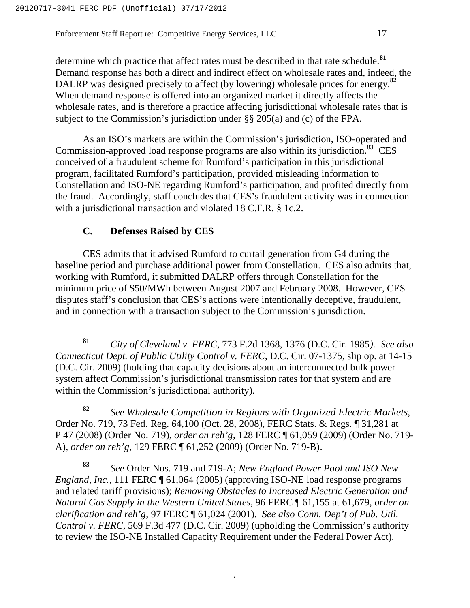determine which practice that affect rates must be described in that rate schedule.**<sup>81</sup>** Demand response has both a direct and indirect effect on wholesale rates and, indeed, the DALRP was designed precisely to affect (by lowering) wholesale prices for energy.**<sup>82</sup>** When demand response is offered into an organized market it directly affects the wholesale rates, and is therefore a practice affecting jurisdictional wholesale rates that is subject to the Commission's jurisdiction under §§ 205(a) and (c) of the FPA.

As an ISO's markets are within the Commission's jurisdiction, ISO-operated and Commission-approved load response programs are also within its jurisdiction.<sup>83</sup> CES conceived of a fraudulent scheme for Rumford's participation in this jurisdictional program, facilitated Rumford's participation, provided misleading information to Constellation and ISO-NE regarding Rumford's participation, and profited directly from the fraud. Accordingly, staff concludes that CES's fraudulent activity was in connection with a jurisdictional transaction and violated 18 C.F.R. § 1c.2.

#### **C. Defenses Raised by CES**

CES admits that it advised Rumford to curtail generation from G4 during the baseline period and purchase additional power from Constellation. CES also admits that, working with Rumford, it submitted DALRP offers through Constellation for the minimum price of \$50/MWh between August 2007 and February 2008. However, CES disputes staff's conclusion that CES's actions were intentionally deceptive, fraudulent, and in connection with a transaction subject to the Commission's jurisdiction.

**<sup>82</sup>** *See Wholesale Competition in Regions with Organized Electric Markets*, Order No. 719, 73 Fed. Reg. 64,100 (Oct. 28, 2008), FERC Stats. & Regs. ¶ 31,281 at P 47 (2008) (Order No. 719), *order on reh'g*, 128 FERC ¶ 61,059 (2009) (Order No. 719- A), *order on reh'g*, 129 FERC ¶ 61,252 (2009) (Order No. 719-B).

**<sup>83</sup>** *See* Order Nos. 719 and 719-A; *New England Power Pool and ISO New England, Inc.*, 111 FERC ¶ 61,064 (2005) (approving ISO-NE load response programs and related tariff provisions); *Removing Obstacles to Increased Electric Generation and Natural Gas Supply in the Western United States*, 96 FERC ¶ 61,155 at 61,679, *order on clarification and reh'g*, 97 FERC ¶ 61,024 (2001). *See also Conn. Dep't of Pub. Util. Control v. FERC*, 569 F.3d 477 (D.C. Cir. 2009) (upholding the Commission's authority to review the ISO-NE Installed Capacity Requirement under the Federal Power Act).

**<sup>81</sup>** *City of Cleveland v. FERC,* 773 F.2d 1368, 1376 (D.C. Cir. 1985*). See also Connecticut Dept. of Public Utility Control v. FERC,* D.C. Cir. 07-1375, slip op. at 14-15 (D.C. Cir. 2009) (holding that capacity decisions about an interconnected bulk power system affect Commission's jurisdictional transmission rates for that system and are within the Commission's jurisdictional authority).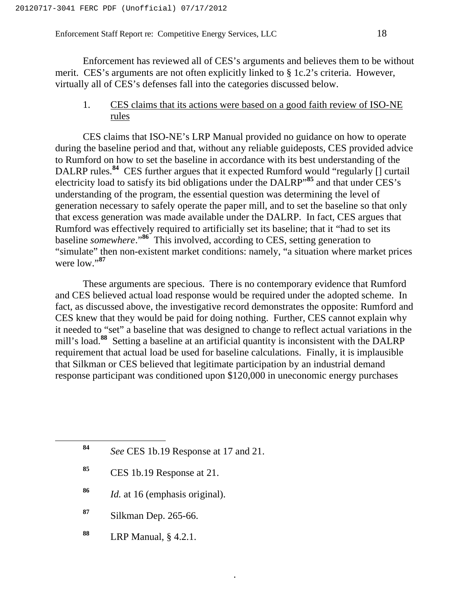Enforcement has reviewed all of CES's arguments and believes them to be without merit. CES's arguments are not often explicitly linked to § 1c.2's criteria. However, virtually all of CES's defenses fall into the categories discussed below.

#### 1. CES claims that its actions were based on a good faith review of ISO-NE rules

CES claims that ISO-NE's LRP Manual provided no guidance on how to operate during the baseline period and that, without any reliable guideposts, CES provided advice to Rumford on how to set the baseline in accordance with its best understanding of the DALRP rules.**<sup>84</sup>** CES further argues that it expected Rumford would "regularly [] curtail electricity load to satisfy its bid obligations under the DALRP"**<sup>85</sup>** and that under CES's understanding of the program, the essential question was determining the level of generation necessary to safely operate the paper mill, and to set the baseline so that only that excess generation was made available under the DALRP. In fact, CES argues that Rumford was effectively required to artificially set its baseline; that it "had to set its baseline *somewhere*."**<sup>86</sup>** This involved, according to CES, setting generation to "simulate" then non-existent market conditions: namely, "a situation where market prices were low."**<sup>87</sup>**

These arguments are specious. There is no contemporary evidence that Rumford and CES believed actual load response would be required under the adopted scheme. In fact, as discussed above, the investigative record demonstrates the opposite: Rumford and CES knew that they would be paid for doing nothing. Further, CES cannot explain why it needed to "set" a baseline that was designed to change to reflect actual variations in the mill's load.**<sup>88</sup>** Setting a baseline at an artificial quantity is inconsistent with the DALRP requirement that actual load be used for baseline calculations. Finally, it is implausible that Silkman or CES believed that legitimate participation by an industrial demand response participant was conditioned upon \$120,000 in uneconomic energy purchases

- **<sup>85</sup>** CES 1b.19 Response at 21.
- **<sup>86</sup>** *Id.* at 16 (emphasis original).
- **<sup>87</sup>** Silkman Dep. 265-66.
- **<sup>88</sup>** LRP Manual, § 4.2.1.

**<sup>84</sup>** *See* CES 1b.19 Response at 17 and 21.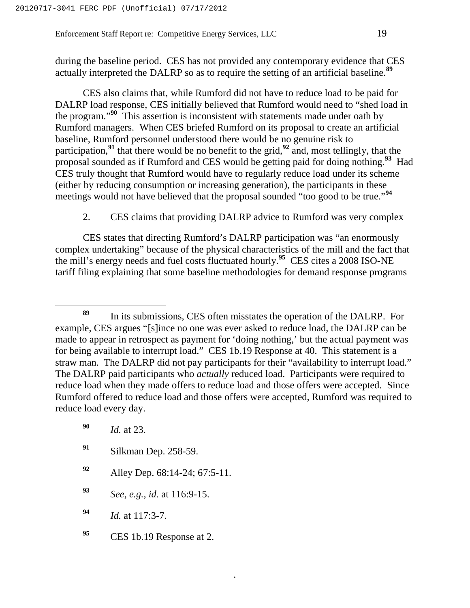during the baseline period. CES has not provided any contemporary evidence that CES actually interpreted the DALRP so as to require the setting of an artificial baseline.**<sup>89</sup>**

CES also claims that, while Rumford did not have to reduce load to be paid for DALRP load response, CES initially believed that Rumford would need to "shed load in the program."**<sup>90</sup>** This assertion is inconsistent with statements made under oath by Rumford managers. When CES briefed Rumford on its proposal to create an artificial baseline, Rumford personnel understood there would be no genuine risk to participation,**<sup>91</sup>** that there would be no benefit to the grid,**<sup>92</sup>** and, most tellingly, that the proposal sounded as if Rumford and CES would be getting paid for doing nothing.**<sup>93</sup>** Had CES truly thought that Rumford would have to regularly reduce load under its scheme (either by reducing consumption or increasing generation), the participants in these meetings would not have believed that the proposal sounded "too good to be true."**<sup>94</sup>**

#### 2. CES claims that providing DALRP advice to Rumford was very complex

CES states that directing Rumford's DALRP participation was "an enormously complex undertaking" because of the physical characteristics of the mill and the fact that the mill's energy needs and fuel costs fluctuated hourly.**<sup>95</sup>** CES cites a 2008 ISO-NE tariff filing explaining that some baseline methodologies for demand response programs

- **<sup>91</sup>** Silkman Dep. 258-59.
- **<sup>92</sup>** Alley Dep. 68:14-24; 67:5-11.
- **<sup>93</sup>** *See*, *e.g.*, *id.* at 116:9-15.
- **<sup>94</sup>** *Id.* at 117:3-7.
- **<sup>95</sup>** CES 1b.19 Response at 2.

**<sup>89</sup>** In its submissions, CES often misstates the operation of the DALRP. For example, CES argues "[s]ince no one was ever asked to reduce load, the DALRP can be made to appear in retrospect as payment for 'doing nothing,' but the actual payment was for being available to interrupt load." CES 1b.19 Response at 40. This statement is a straw man. The DALRP did not pay participants for their "availability to interrupt load." The DALRP paid participants who *actually* reduced load. Participants were required to reduce load when they made offers to reduce load and those offers were accepted. Since Rumford offered to reduce load and those offers were accepted, Rumford was required to reduce load every day.

**<sup>90</sup>** *Id.* at 23.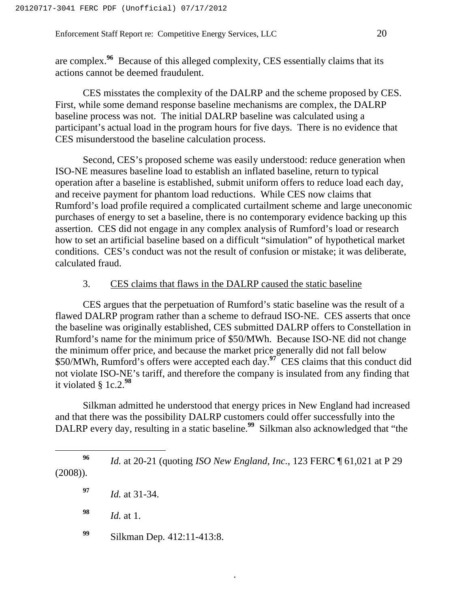are complex.**<sup>96</sup>** Because of this alleged complexity, CES essentially claims that its actions cannot be deemed fraudulent.

CES misstates the complexity of the DALRP and the scheme proposed by CES. First, while some demand response baseline mechanisms are complex, the DALRP baseline process was not. The initial DALRP baseline was calculated using a participant's actual load in the program hours for five days. There is no evidence that CES misunderstood the baseline calculation process.

Second, CES's proposed scheme was easily understood: reduce generation when ISO-NE measures baseline load to establish an inflated baseline, return to typical operation after a baseline is established, submit uniform offers to reduce load each day, and receive payment for phantom load reductions. While CES now claims that Rumford's load profile required a complicated curtailment scheme and large uneconomic purchases of energy to set a baseline, there is no contemporary evidence backing up this assertion. CES did not engage in any complex analysis of Rumford's load or research how to set an artificial baseline based on a difficult "simulation" of hypothetical market conditions. CES's conduct was not the result of confusion or mistake; it was deliberate, calculated fraud.

#### 3. CES claims that flaws in the DALRP caused the static baseline

CES argues that the perpetuation of Rumford's static baseline was the result of a flawed DALRP program rather than a scheme to defraud ISO-NE. CES asserts that once the baseline was originally established, CES submitted DALRP offers to Constellation in Rumford's name for the minimum price of \$50/MWh. Because ISO-NE did not change the minimum offer price, and because the market price generally did not fall below \$50/MWh, Rumford's offers were accepted each day.**<sup>97</sup>** CES claims that this conduct did not violate ISO-NE's tariff, and therefore the company is insulated from any finding that it violated § 1c.2.**<sup>98</sup>**

Silkman admitted he understood that energy prices in New England had increased and that there was the possibility DALRP customers could offer successfully into the DALRP every day, resulting in a static baseline.<sup>99</sup> Silkman also acknowledged that "the

.

**<sup>99</sup>** Silkman Dep*.* 412:11-413:8.

**<sup>96</sup>** *Id.* at 20-21 (quoting *ISO New England, Inc.*, 123 FERC ¶ 61,021 at P 29 (2008)).

**<sup>97</sup>** *Id.* at 31-34.

**<sup>98</sup>** *Id.* at 1.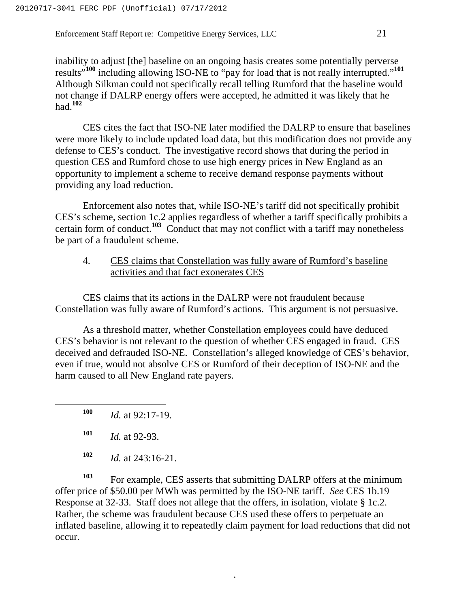inability to adjust [the] baseline on an ongoing basis creates some potentially perverse results"**<sup>100</sup>** including allowing ISO-NE to "pay for load that is not really interrupted."**<sup>101</sup>** Although Silkman could not specifically recall telling Rumford that the baseline would not change if DALRP energy offers were accepted, he admitted it was likely that he had.**<sup>102</sup>**

CES cites the fact that ISO-NE later modified the DALRP to ensure that baselines were more likely to include updated load data, but this modification does not provide any defense to CES's conduct. The investigative record shows that during the period in question CES and Rumford chose to use high energy prices in New England as an opportunity to implement a scheme to receive demand response payments without providing any load reduction.

Enforcement also notes that, while ISO-NE's tariff did not specifically prohibit CES's scheme, section 1c.2 applies regardless of whether a tariff specifically prohibits a certain form of conduct.**<sup>103</sup>** Conduct that may not conflict with a tariff may nonetheless be part of a fraudulent scheme.

#### 4. CES claims that Constellation was fully aware of Rumford's baseline activities and that fact exonerates CES

CES claims that its actions in the DALRP were not fraudulent because Constellation was fully aware of Rumford's actions. This argument is not persuasive.

As a threshold matter, whether Constellation employees could have deduced CES's behavior is not relevant to the question of whether CES engaged in fraud. CES deceived and defrauded ISO-NE. Constellation's alleged knowledge of CES's behavior, even if true, would not absolve CES or Rumford of their deception of ISO-NE and the harm caused to all New England rate payers.

**<sup>100</sup>** *Id.* at 92:17-19.

**<sup>103</sup>** For example, CES asserts that submitting DALRP offers at the minimum offer price of \$50.00 per MWh was permitted by the ISO-NE tariff. *See* CES 1b.19 Response at 32-33. Staff does not allege that the offers, in isolation, violate § 1c.2. Rather, the scheme was fraudulent because CES used these offers to perpetuate an inflated baseline, allowing it to repeatedly claim payment for load reductions that did not occur.

**<sup>101</sup>** *Id.* at 92-93.

**<sup>102</sup>** *Id.* at 243:16-21.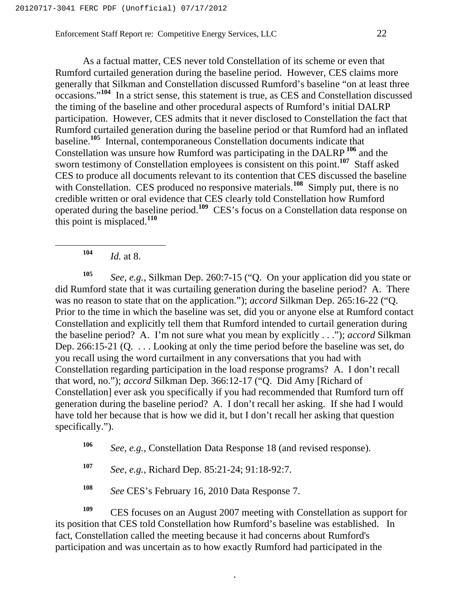As a factual matter, CES never told Constellation of its scheme or even that Rumford curtailed generation during the baseline period. However, CES claims more generally that Silkman and Constellation discussed Rumford's baseline "on at least three occasions."**<sup>104</sup>** In a strict sense, this statement is true, as CES and Constellation discussed the timing of the baseline and other procedural aspects of Rumford's initial DALRP participation. However, CES admits that it never disclosed to Constellation the fact that Rumford curtailed generation during the baseline period or that Rumford had an inflated baseline.**<sup>105</sup>** Internal, contemporaneous Constellation documents indicate that Constellation was unsure how Rumford was participating in the DALRP **<sup>106</sup>** and the sworn testimony of Constellation employees is consistent on this point.**<sup>107</sup>** Staff asked CES to produce all documents relevant to its contention that CES discussed the baseline with Constellation. CES produced no responsive materials.<sup>108</sup> Simply put, there is no credible written or oral evidence that CES clearly told Constellation how Rumford operated during the baseline period.**<sup>109</sup>** CES's focus on a Constellation data response on this point is misplaced.**<sup>110</sup>**

**<sup>104</sup>** *Id.* at 8.

**<sup>105</sup>** *See, e.g.*, Silkman Dep. 260:7-15 ("Q. On your application did you state or did Rumford state that it was curtailing generation during the baseline period? A. There was no reason to state that on the application."); *accord* Silkman Dep. 265:16-22 ("Q. Prior to the time in which the baseline was set, did you or anyone else at Rumford contact Constellation and explicitly tell them that Rumford intended to curtail generation during the baseline period? A. I'm not sure what you mean by explicitly . . ."); *accord* Silkman Dep. 266:15-21 (Q. . . . Looking at only the time period before the baseline was set, do you recall using the word curtailment in any conversations that you had with Constellation regarding participation in the load response programs? A. I don't recall that word, no."); *accord* Silkman Dep. 366:12-17 ("Q. Did Amy [Richard of Constellation] ever ask you specifically if you had recommended that Rumford turn off generation during the baseline period? A. I don't recall her asking. If she had I would have told her because that is how we did it, but I don't recall her asking that question specifically.").

**<sup>106</sup>** *See, e.g.*, Constellation Data Response 18 (and revised response).

**<sup>107</sup>** *See, e.g.*, Richard Dep. 85:21-24; 91:18-92:7.

**<sup>108</sup>** *See* CES's February 16, 2010 Data Response 7.

**<sup>109</sup>** CES focuses on an August 2007 meeting with Constellation as support for its position that CES told Constellation how Rumford's baseline was established. In fact, Constellation called the meeting because it had concerns about Rumford's participation and was uncertain as to how exactly Rumford had participated in the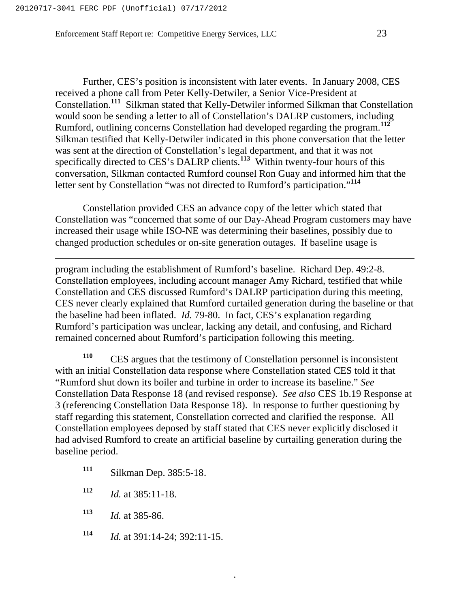$\overline{a}$ 

Further, CES's position is inconsistent with later events. In January 2008, CES received a phone call from Peter Kelly-Detwiler, a Senior Vice-President at Constellation.**<sup>111</sup>** Silkman stated that Kelly-Detwiler informed Silkman that Constellation would soon be sending a letter to all of Constellation's DALRP customers, including Rumford, outlining concerns Constellation had developed regarding the program.**<sup>112</sup>** Silkman testified that Kelly-Detwiler indicated in this phone conversation that the letter was sent at the direction of Constellation's legal department, and that it was not specifically directed to CES's DALRP clients.<sup>113</sup> Within twenty-four hours of this conversation, Silkman contacted Rumford counsel Ron Guay and informed him that the

Constellation provided CES an advance copy of the letter which stated that Constellation was "concerned that some of our Day-Ahead Program customers may have increased their usage while ISO-NE was determining their baselines, possibly due to changed production schedules or on-site generation outages. If baseline usage is

letter sent by Constellation "was not directed to Rumford's participation."**<sup>114</sup>**

program including the establishment of Rumford's baseline. Richard Dep. 49:2-8. Constellation employees, including account manager Amy Richard, testified that while Constellation and CES discussed Rumford's DALRP participation during this meeting, CES never clearly explained that Rumford curtailed generation during the baseline or that the baseline had been inflated. *Id.* 79-80. In fact, CES's explanation regarding Rumford's participation was unclear, lacking any detail, and confusing, and Richard remained concerned about Rumford's participation following this meeting.

**<sup>110</sup>** CES argues that the testimony of Constellation personnel is inconsistent with an initial Constellation data response where Constellation stated CES told it that "Rumford shut down its boiler and turbine in order to increase its baseline." *See* Constellation Data Response 18 (and revised response). *See also* CES 1b.19 Response at 3 (referencing Constellation Data Response 18). In response to further questioning by staff regarding this statement, Constellation corrected and clarified the response. All Constellation employees deposed by staff stated that CES never explicitly disclosed it had advised Rumford to create an artificial baseline by curtailing generation during the baseline period.

- **<sup>111</sup>** Silkman Dep. 385:5-18.
- **<sup>112</sup>** *Id.* at 385:11-18.
- **<sup>113</sup>** *Id.* at 385-86.
- **<sup>114</sup>** *Id.* at 391:14-24; 392:11-15.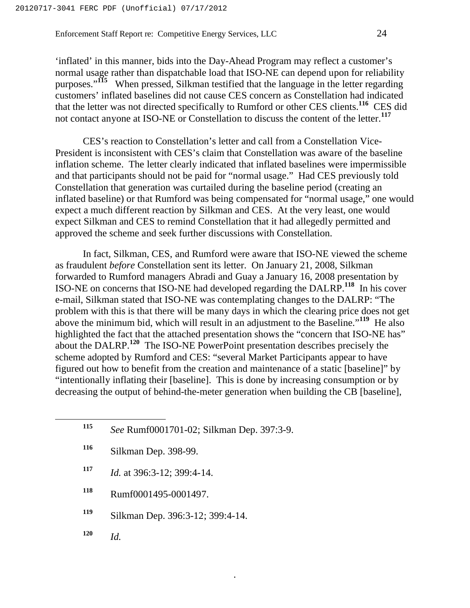'inflated' in this manner, bids into the Day-Ahead Program may reflect a customer's normal usage rather than dispatchable load that ISO-NE can depend upon for reliability purposes."**<sup>115</sup>** When pressed, Silkman testified that the language in the letter regarding customers' inflated baselines did not cause CES concern as Constellation had indicated that the letter was not directed specifically to Rumford or other CES clients.**<sup>116</sup>** CES did not contact anyone at ISO-NE or Constellation to discuss the content of the letter.**<sup>117</sup>**

CES's reaction to Constellation's letter and call from a Constellation Vice-President is inconsistent with CES's claim that Constellation was aware of the baseline inflation scheme. The letter clearly indicated that inflated baselines were impermissible and that participants should not be paid for "normal usage." Had CES previously told Constellation that generation was curtailed during the baseline period (creating an inflated baseline) or that Rumford was being compensated for "normal usage," one would expect a much different reaction by Silkman and CES. At the very least, one would expect Silkman and CES to remind Constellation that it had allegedly permitted and approved the scheme and seek further discussions with Constellation.

In fact, Silkman, CES, and Rumford were aware that ISO-NE viewed the scheme as fraudulent *before* Constellation sent its letter. On January 21, 2008, Silkman forwarded to Rumford managers Abradi and Guay a January 16, 2008 presentation by ISO-NE on concerns that ISO-NE had developed regarding the DALRP.**<sup>118</sup>** In his cover e-mail, Silkman stated that ISO-NE was contemplating changes to the DALRP: "The problem with this is that there will be many days in which the clearing price does not get above the minimum bid, which will result in an adjustment to the Baseline."**<sup>119</sup>** He also highlighted the fact that the attached presentation shows the "concern that ISO-NE has" about the DALRP.**<sup>120</sup>** The ISO-NE PowerPoint presentation describes precisely the scheme adopted by Rumford and CES: "several Market Participants appear to have figured out how to benefit from the creation and maintenance of a static [baseline]" by "intentionally inflating their [baseline]. This is done by increasing consumption or by decreasing the output of behind-the-meter generation when building the CB [baseline],

.

| 115 | See Rumf0001701-02; Silkman Dep. 397:3-9. |
|-----|-------------------------------------------|
| 116 | Silkman Dep. 398-99.                      |
| 117 | <i>Id.</i> at 396:3-12; 399:4-14.         |
| 118 | Rumf0001495-0001497.                      |

**<sup>119</sup>** Silkman Dep. 396:3-12; 399:4-14.

**<sup>120</sup>** *Id.*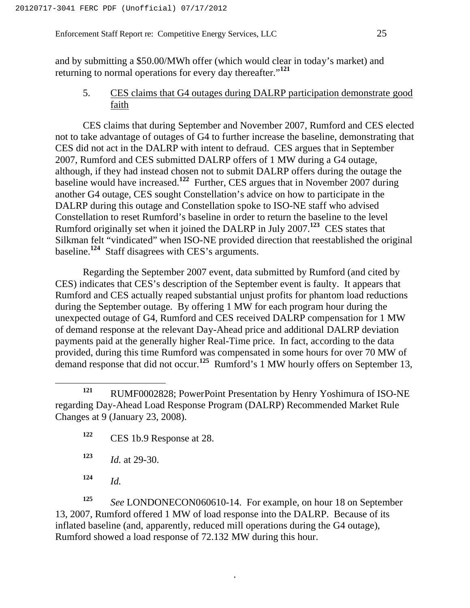and by submitting a \$50.00/MWh offer (which would clear in today's market) and returning to normal operations for every day thereafter."**<sup>121</sup>**

5. CES claims that G4 outages during DALRP participation demonstrate good faith

CES claims that during September and November 2007, Rumford and CES elected not to take advantage of outages of G4 to further increase the baseline, demonstrating that CES did not act in the DALRP with intent to defraud. CES argues that in September 2007, Rumford and CES submitted DALRP offers of 1 MW during a G4 outage, although, if they had instead chosen not to submit DALRP offers during the outage the baseline would have increased.**<sup>122</sup>** Further, CES argues that in November 2007 during another G4 outage, CES sought Constellation's advice on how to participate in the DALRP during this outage and Constellation spoke to ISO-NE staff who advised Constellation to reset Rumford's baseline in order to return the baseline to the level Rumford originally set when it joined the DALRP in July 2007.**<sup>123</sup>** CES states that Silkman felt "vindicated" when ISO-NE provided direction that reestablished the original baseline.**<sup>124</sup>** Staff disagrees with CES's arguments.

Regarding the September 2007 event, data submitted by Rumford (and cited by CES) indicates that CES's description of the September event is faulty. It appears that Rumford and CES actually reaped substantial unjust profits for phantom load reductions during the September outage. By offering 1 MW for each program hour during the unexpected outage of G4, Rumford and CES received DALRP compensation for 1 MW of demand response at the relevant Day-Ahead price and additional DALRP deviation payments paid at the generally higher Real-Time price. In fact, according to the data provided, during this time Rumford was compensated in some hours for over 70 MW of demand response that did not occur.**<sup>125</sup>** Rumford's 1 MW hourly offers on September 13,

- **<sup>122</sup>** CES 1b.9 Response at 28.
- **<sup>123</sup>** *Id.* at 29-30.
- **<sup>124</sup>** *Id.*

**<sup>125</sup>** *See* LONDONECON060610-14. For example, on hour 18 on September 13, 2007, Rumford offered 1 MW of load response into the DALRP. Because of its inflated baseline (and, apparently, reduced mill operations during the G4 outage), Rumford showed a load response of 72.132 MW during this hour.

**<sup>121</sup>** RUMF0002828; PowerPoint Presentation by Henry Yoshimura of ISO-NE regarding Day-Ahead Load Response Program (DALRP) Recommended Market Rule Changes at 9 (January 23, 2008).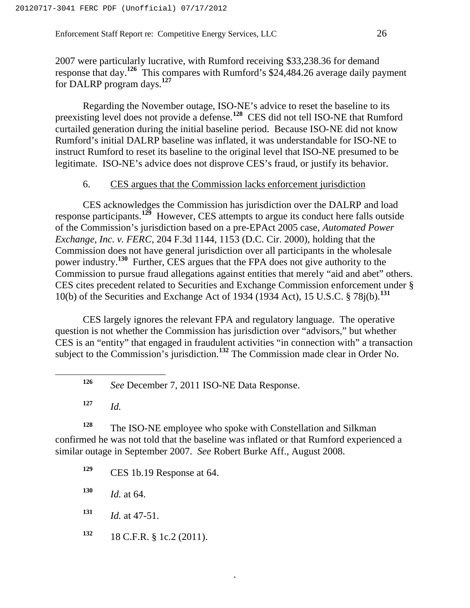2007 were particularly lucrative, with Rumford receiving \$33,238.36 for demand response that day.**<sup>126</sup>** This compares with Rumford's \$24,484.26 average daily payment for DALRP program days.**<sup>127</sup>**

Regarding the November outage, ISO-NE's advice to reset the baseline to its preexisting level does not provide a defense.**<sup>128</sup>** CES did not tell ISO-NE that Rumford curtailed generation during the initial baseline period. Because ISO-NE did not know Rumford's initial DALRP baseline was inflated, it was understandable for ISO-NE to instruct Rumford to reset its baseline to the original level that ISO-NE presumed to be legitimate. ISO-NE's advice does not disprove CES's fraud, or justify its behavior.

#### 6. CES argues that the Commission lacks enforcement jurisdiction

CES acknowledges the Commission has jurisdiction over the DALRP and load response participants.**<sup>129</sup>** However, CES attempts to argue its conduct here falls outside of the Commission's jurisdiction based on a pre-EPAct 2005 case, *Automated Power Exchange, Inc. v. FERC*, 204 F.3d 1144, 1153 (D.C. Cir. 2000), holding that the Commission does not have general jurisdiction over all participants in the wholesale power industry.**<sup>130</sup>** Further, CES argues that the FPA does not give authority to the Commission to pursue fraud allegations against entities that merely "aid and abet" others. CES cites precedent related to Securities and Exchange Commission enforcement under § 10(b) of the Securities and Exchange Act of 1934 (1934 Act), 15 U.S.C. § 78j(b).**<sup>131</sup>**

CES largely ignores the relevant FPA and regulatory language. The operative question is not whether the Commission has jurisdiction over "advisors," but whether CES is an "entity" that engaged in fraudulent activities "in connection with" a transaction subject to the Commission's jurisdiction.**<sup>132</sup>** The Commission made clear in Order No.

**<sup>127</sup>** *Id.*

**<sup>128</sup>** The ISO-NE employee who spoke with Constellation and Silkman confirmed he was not told that the baseline was inflated or that Rumford experienced a similar outage in September 2007. *See* Robert Burke Aff., August 2008.

.

**<sup>129</sup>** CES 1b.19 Response at 64.

**<sup>130</sup>** *Id.* at 64.

**<sup>131</sup>** *Id.* at 47-51.

**<sup>132</sup>** 18 C.F.R. § 1c.2 (2011).

**<sup>126</sup>** *See* December 7, 2011 ISO-NE Data Response.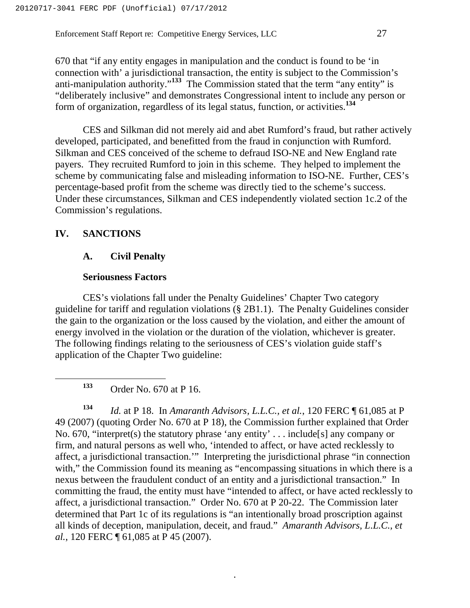670 that "if any entity engages in manipulation and the conduct is found to be 'in connection with' a jurisdictional transaction, the entity is subject to the Commission's anti-manipulation authority."**<sup>133</sup>** The Commission stated that the term "any entity" is "deliberately inclusive" and demonstrates Congressional intent to include any person or form of organization, regardless of its legal status, function, or activities.**<sup>134</sup>**

CES and Silkman did not merely aid and abet Rumford's fraud, but rather actively developed, participated, and benefitted from the fraud in conjunction with Rumford. Silkman and CES conceived of the scheme to defraud ISO-NE and New England rate payers. They recruited Rumford to join in this scheme. They helped to implement the scheme by communicating false and misleading information to ISO-NE. Further, CES's percentage-based profit from the scheme was directly tied to the scheme's success. Under these circumstances, Silkman and CES independently violated section 1c.2 of the Commission's regulations.

#### **IV. SANCTIONS**

#### **A. Civil Penalty**

#### **Seriousness Factors**

CES's violations fall under the Penalty Guidelines' Chapter Two category guideline for tariff and regulation violations (§ 2B1.1). The Penalty Guidelines consider the gain to the organization or the loss caused by the violation, and either the amount of energy involved in the violation or the duration of the violation, whichever is greater. The following findings relating to the seriousness of CES's violation guide staff's application of the Chapter Two guideline:

**<sup>133</sup>** Order No. 670 at P 16.

**<sup>134</sup>** *Id.* at P 18. In *Amaranth Advisors, L.L.C., et al.*, 120 FERC ¶ 61,085 at P 49 (2007) (quoting Order No. 670 at P 18), the Commission further explained that Order No. 670, "interpret(s) the statutory phrase 'any entity' . . . include[s] any company or firm, and natural persons as well who, 'intended to affect, or have acted recklessly to affect, a jurisdictional transaction.'" Interpreting the jurisdictional phrase "in connection with," the Commission found its meaning as "encompassing situations in which there is a nexus between the fraudulent conduct of an entity and a jurisdictional transaction." In committing the fraud, the entity must have "intended to affect, or have acted recklessly to affect, a jurisdictional transaction." Order No. 670 at P 20-22. The Commission later determined that Part 1c of its regulations is "an intentionally broad proscription against all kinds of deception, manipulation, deceit, and fraud." *Amaranth Advisors, L.L.C., et al.*, 120 FERC ¶ 61,085 at P 45 (2007).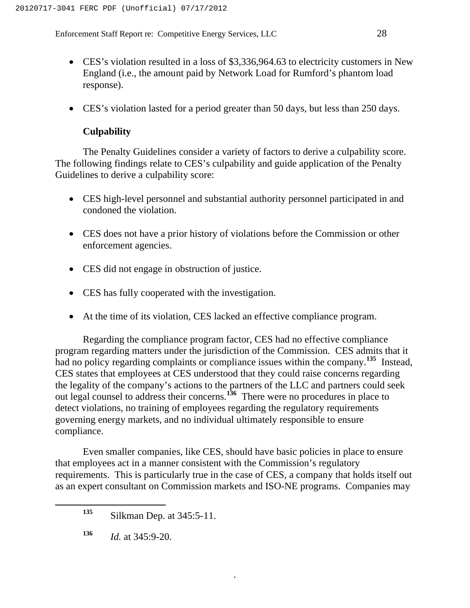- CES's violation resulted in a loss of \$3,336,964.63 to electricity customers in New England (i.e., the amount paid by Network Load for Rumford's phantom load response).
- CES's violation lasted for a period greater than 50 days, but less than 250 days.

# **Culpability**

The Penalty Guidelines consider a variety of factors to derive a culpability score. The following findings relate to CES's culpability and guide application of the Penalty Guidelines to derive a culpability score:

- CES high-level personnel and substantial authority personnel participated in and condoned the violation.
- CES does not have a prior history of violations before the Commission or other enforcement agencies.
- CES did not engage in obstruction of justice.
- CES has fully cooperated with the investigation.
- At the time of its violation, CES lacked an effective compliance program.

Regarding the compliance program factor, CES had no effective compliance program regarding matters under the jurisdiction of the Commission. CES admits that it had no policy regarding complaints or compliance issues within the company.**<sup>135</sup>** Instead, CES states that employees at CES understood that they could raise concerns regarding the legality of the company's actions to the partners of the LLC and partners could seek out legal counsel to address their concerns.**<sup>136</sup>** There were no procedures in place to detect violations, no training of employees regarding the regulatory requirements governing energy markets, and no individual ultimately responsible to ensure compliance.

Even smaller companies, like CES, should have basic policies in place to ensure that employees act in a manner consistent with the Commission's regulatory requirements. This is particularly true in the case of CES, a company that holds itself out as an expert consultant on Commission markets and ISO-NE programs. Companies may

**<sup>135</sup>** Silkman Dep. at 345:5-11.

**<sup>136</sup>** *Id.* at 345:9-20.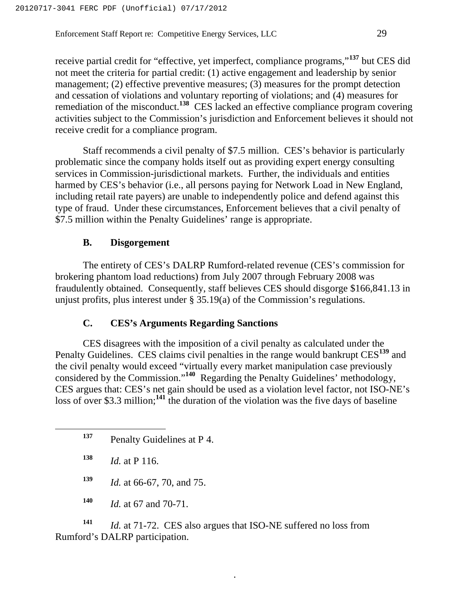receive partial credit for "effective, yet imperfect, compliance programs,"**<sup>137</sup>** but CES did not meet the criteria for partial credit: (1) active engagement and leadership by senior management; (2) effective preventive measures; (3) measures for the prompt detection and cessation of violations and voluntary reporting of violations; and (4) measures for remediation of the misconduct.**<sup>138</sup>** CES lacked an effective compliance program covering activities subject to the Commission's jurisdiction and Enforcement believes it should not receive credit for a compliance program.

Staff recommends a civil penalty of \$7.5 million. CES's behavior is particularly problematic since the company holds itself out as providing expert energy consulting services in Commission-jurisdictional markets. Further, the individuals and entities harmed by CES's behavior (i.e., all persons paying for Network Load in New England, including retail rate payers) are unable to independently police and defend against this type of fraud. Under these circumstances, Enforcement believes that a civil penalty of \$7.5 million within the Penalty Guidelines' range is appropriate.

#### **B. Disgorgement**

The entirety of CES's DALRP Rumford-related revenue (CES's commission for brokering phantom load reductions) from July 2007 through February 2008 was fraudulently obtained. Consequently, staff believes CES should disgorge \$166,841.13 in unjust profits, plus interest under § 35.19(a) of the Commission's regulations.

#### **C. CES's Arguments Regarding Sanctions**

CES disagrees with the imposition of a civil penalty as calculated under the Penalty Guidelines. CES claims civil penalties in the range would bankrupt CES**<sup>139</sup>** and the civil penalty would exceed "virtually every market manipulation case previously considered by the Commission."**<sup>140</sup>** Regarding the Penalty Guidelines' methodology, CES argues that: CES's net gain should be used as a violation level factor, not ISO-NE's loss of over \$3.3 million;<sup>141</sup> the duration of the violation was the five days of baseline

- **<sup>138</sup>** *Id.* at P 116.
- **<sup>139</sup>** *Id.* at 66-67, 70, and 75.
- **<sup>140</sup>** *Id.* at 67 and 70-71.

**<sup>141</sup>** *Id.* at 71-72. CES also argues that ISO-NE suffered no loss from Rumford's DALRP participation.

**<sup>137</sup>** Penalty Guidelines at P 4.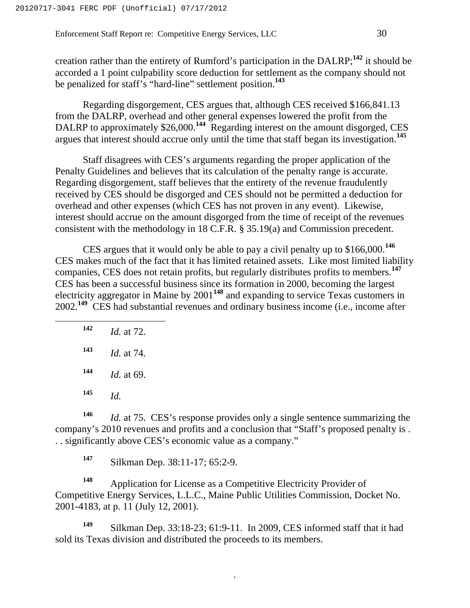creation rather than the entirety of Rumford's participation in the DALRP;**<sup>142</sup>** it should be accorded a 1 point culpability score deduction for settlement as the company should not be penalized for staff's "hard-line" settlement position.**<sup>143</sup>**

Regarding disgorgement, CES argues that, although CES received \$166,841.13 from the DALRP, overhead and other general expenses lowered the profit from the DALRP to approximately \$26,000.<sup>144</sup> Regarding interest on the amount disgorged, CES argues that interest should accrue only until the time that staff began its investigation.**<sup>145</sup>**

Staff disagrees with CES's arguments regarding the proper application of the Penalty Guidelines and believes that its calculation of the penalty range is accurate. Regarding disgorgement, staff believes that the entirety of the revenue fraudulently received by CES should be disgorged and CES should not be permitted a deduction for overhead and other expenses (which CES has not proven in any event). Likewise, interest should accrue on the amount disgorged from the time of receipt of the revenues consistent with the methodology in 18 C.F.R. § 35.19(a) and Commission precedent.

CES argues that it would only be able to pay a civil penalty up to \$166,000.**<sup>146</sup>** CES makes much of the fact that it has limited retained assets. Like most limited liability companies, CES does not retain profits, but regularly distributes profits to members.**<sup>147</sup>** CES has been a successful business since its formation in 2000, becoming the largest electricity aggregator in Maine by 2001**<sup>148</sup>** and expanding to service Texas customers in 2002.**<sup>149</sup>** CES had substantial revenues and ordinary business income (i.e., income after

| 142 | <i>Id.</i> at 72. |
|-----|-------------------|
| 143 | <i>Id.</i> at 74. |
| 144 | <i>Id.</i> at 69. |
| 145 | Id.               |
|     |                   |

**<sup>146</sup>** *Id.* at 75. CES's response provides only a single sentence summarizing the company's 2010 revenues and profits and a conclusion that "Staff's proposed penalty is . . . significantly above CES's economic value as a company."

**<sup>147</sup>** Silkman Dep. 38:11-17; 65:2-9.

**<sup>148</sup>** Application for License as a Competitive Electricity Provider of Competitive Energy Services, L.L.C., Maine Public Utilities Commission, Docket No. 2001-4183, at p. 11 (July 12, 2001).

**<sup>149</sup>** Silkman Dep. 33:18-23; 61:9-11. In 2009, CES informed staff that it had sold its Texas division and distributed the proceeds to its members.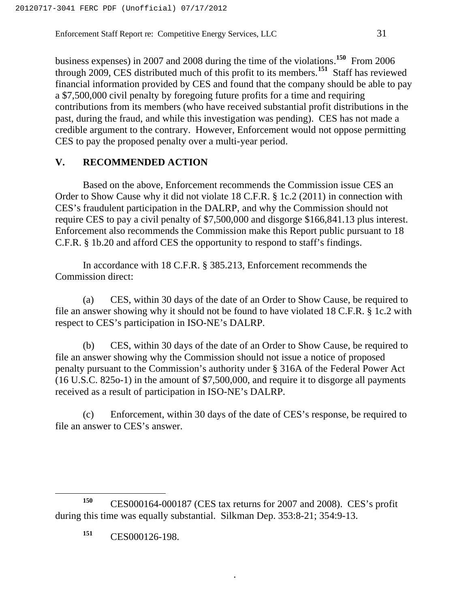business expenses) in 2007 and 2008 during the time of the violations.**<sup>150</sup>** From 2006 through 2009, CES distributed much of this profit to its members.**<sup>151</sup>** Staff has reviewed financial information provided by CES and found that the company should be able to pay a \$7,500,000 civil penalty by foregoing future profits for a time and requiring contributions from its members (who have received substantial profit distributions in the past, during the fraud, and while this investigation was pending). CES has not made a credible argument to the contrary. However, Enforcement would not oppose permitting CES to pay the proposed penalty over a multi-year period.

#### **V. RECOMMENDED ACTION**

Based on the above, Enforcement recommends the Commission issue CES an Order to Show Cause why it did not violate 18 C.F.R. § 1c.2 (2011) in connection with CES's fraudulent participation in the DALRP, and why the Commission should not require CES to pay a civil penalty of \$7,500,000 and disgorge \$166,841.13 plus interest. Enforcement also recommends the Commission make this Report public pursuant to 18 C.F.R. § 1b.20 and afford CES the opportunity to respond to staff's findings.

In accordance with 18 C.F.R. § 385.213, Enforcement recommends the Commission direct:

(a) CES, within 30 days of the date of an Order to Show Cause, be required to file an answer showing why it should not be found to have violated 18 C.F.R. § 1c.2 with respect to CES's participation in ISO-NE's DALRP.

(b) CES, within 30 days of the date of an Order to Show Cause, be required to file an answer showing why the Commission should not issue a notice of proposed penalty pursuant to the Commission's authority under § 316A of the Federal Power Act (16 U.S.C. 825o-1) in the amount of \$7,500,000, and require it to disgorge all payments received as a result of participation in ISO-NE's DALRP.

(c) Enforcement, within 30 days of the date of CES's response, be required to file an answer to CES's answer.

.

**<sup>151</sup>** CES000126-198.

**<sup>150</sup>** CES000164-000187 (CES tax returns for 2007 and 2008). CES's profit during this time was equally substantial. Silkman Dep. 353:8-21; 354:9-13.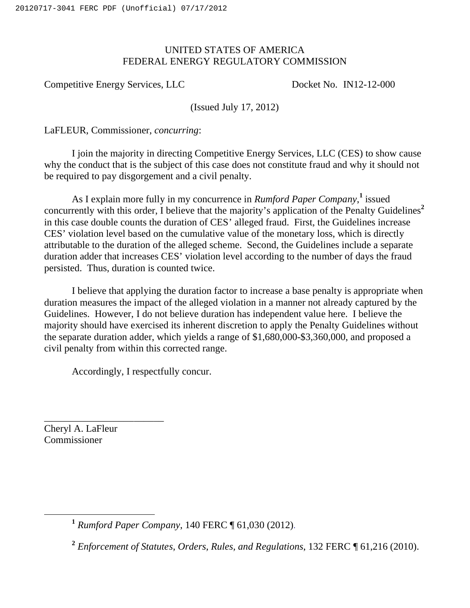# UNITED STATES OF AMERICA FEDERAL ENERGY REGULATORY COMMISSION

Competitive Energy Services, LLC Docket No. IN12-12-000

(Issued July 17, 2012)

LaFLEUR, Commissioner, *concurring*:

I join the majority in directing Competitive Energy Services, LLC (CES) to show cause why the conduct that is the subject of this case does not constitute fraud and why it should not be required to pay disgorgement and a civil penalty.

As I explain more fully in my concurrence in *Rumford Paper Company*,<sup>1</sup> issued concurrently with this order, I believe that the majority's application of the Penalty Guidelines**<sup>2</sup>** in this case double counts the duration of CES' alleged fraud. First, the Guidelines increase CES' violation level based on the cumulative value of the monetary loss, which is directly attributable to the duration of the alleged scheme. Second, the Guidelines include a separate duration adder that increases CES' violation level according to the number of days the fraud persisted. Thus, duration is counted twice.

I believe that applying the duration factor to increase a base penalty is appropriate when duration measures the impact of the alleged violation in a manner not already captured by the Guidelines. However, I do not believe duration has independent value here. I believe the majority should have exercised its inherent discretion to apply the Penalty Guidelines without the separate duration adder, which yields a range of \$1,680,000-\$3,360,000, and proposed a civil penalty from within this corrected range.

Accordingly, I respectfully concur.

Cheryl A. LaFleur Commissioner

\_\_\_\_\_\_\_\_\_\_\_\_\_\_\_\_\_\_\_\_\_\_\_\_

**<sup>1</sup>** *Rumford Paper Company*, 140 FERC ¶ 61,030 (2012).

**<sup>2</sup>** *Enforcement of Statutes, Orders, Rules, and Regulations*, 132 FERC ¶ 61,216 (2010).